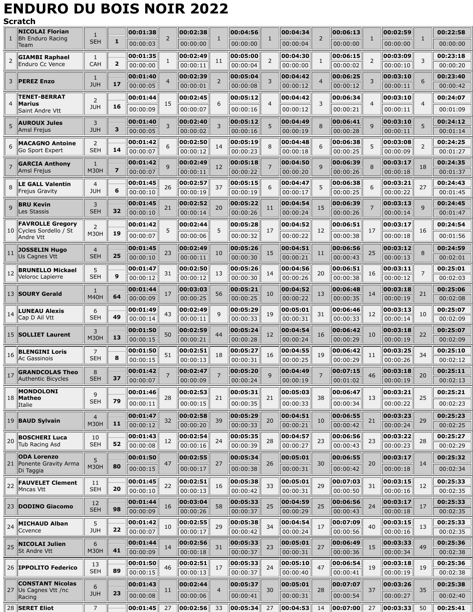## **ENDURO DU BOIS NOIR 2022**

## **Scratch**

|    | <b>NICOLAI Florian</b>                          | 1                |                | 00:01:38             |                | 00:02:38             |                | 00:04:56             |                | 00:04:34             |    | 00:06:13             |    | 00:02:59             |                | 00:22:58             |
|----|-------------------------------------------------|------------------|----------------|----------------------|----------------|----------------------|----------------|----------------------|----------------|----------------------|----|----------------------|----|----------------------|----------------|----------------------|
| 1  | <b>Bh Enduro Racing</b><br>Team                 | <b>SEH</b>       | 1              | 00:00:03             | $\overline{2}$ | 00:00:00             | 1              | 00:00:00             | 1              | 00:00:04             | 2  | 00:00:00             |    | 00:00:00             | $\mathbf{1}$   | 00:00:00             |
|    | <b>GIAMBI Raphael</b>                           | $\mathbf{1}$     |                | 00:01:35             |                | 00:02:49             |                | 00:05:00             |                | 00:04:30             |    | 00:06:15             |    | 00:03:09             |                | 00:23:18             |
| 2  | Enduro Cc Vence                                 | CAH              | $\overline{2}$ | 00:00:00             | $\mathbf{1}$   | 00:00:11             | 11             | 00:00:04             | 2              | 00:00:00             |    | 00:00:02             | 2  | 00:00:10             | 3              | 00:00:20             |
| 3  | <b>PEREZ Enzo</b>                               | 1                |                | 00:01:40             | $\overline{4}$ | 00:02:39             | 2              | 00:05:04             | 3              | 00:04:42             |    | 00:06:25             | 3  | 00:03:10             | 6              | 00:23:40             |
|    |                                                 | <b>JUH</b>       | 17             | 00:00:05             |                | 00:00:01             |                | 00:00:08             |                | 00:00:12             |    | 00:00:12             |    | 00:00:11             |                | 00:00:42             |
| 4  | <b>TENET-BERRAT</b><br><b>Marius</b>            | 2                |                | 00:01:44             | 15             | 00:02:45             | 6              | 00:05:12             | $\overline{4}$ | 00:04:42             | 3  | 00:06:34             | 4  | 00:03:10             | $\overline{4}$ | 00:24:07             |
|    | Saint Andre Vtt                                 | <b>JUH</b>       | 16             | 00:00:09             |                | 00:00:07             |                | 00:00:16             |                | 00:00:12             |    | 00:00:21             |    | 00:00:11             |                | 00:01:09             |
|    | <b>AUROUX Jules</b>                             | 3                |                | 00:01:40             | 3              | 00:02:40             | 3              | 00:05:12             | 5              | 00:04:49             | 8  | 00:06:41             | 9  | 00:03:10             | 5              | 00:24:12             |
|    | Amsl Frejus                                     | <b>JUH</b>       | з              | 00:00:05             |                | 00:00:02             |                | 00:00:16             |                | 00:00:19             |    | 00:00:28             |    | 00:00:11             |                | 00:01:14             |
| 6  | <b>MACAGNO Antoine</b><br>Go Sport Expert       | 2<br><b>SEH</b>  | 14             | 00:01:42             | 6              | 00:02:50             | 14             | 00:05:19             | 8              | 00:04:48             | 6  | 00:06:38             | 5  | 00:03:08             | 2              | 00:24:25             |
|    |                                                 |                  |                | 00:00:07             |                | 00:00:12             |                | 00:00:23             |                | 00:00:18             |    | 00:00:25             |    | 00:00:09             |                | 00:01:27             |
| 7  | <b>GARCIA Anthony</b><br>Amsl Frejus            | 1<br><b>M30H</b> | 7              | 00:01:42<br>00:00:07 | 9              | 00:02:49<br>00:00:11 | 12             | 00:05:18<br>00:00:22 | 7              | 00:04:50<br>00:00:20 | q  | 00:06:39<br>00:00:26 | 8  | 00:03:17<br>00:00:18 | 18             | 00:24:35<br>00:01:37 |
|    | <b>LE GALL Valentin</b>                         | $\overline{4}$   |                | 00:01:45             |                | 00:02:57             |                | 00:05:15             |                | 00:04:47             |    | 00:06:38             |    | 00:03:21             |                | 00:24:43             |
| 8  | <b>Frejus Gravity</b>                           | <b>JUH</b>       | 6              | 00:00:10             | 26             | 00:00:19             | 37             | 00:00:19             | 6              | 00:00:17             |    | 00:00:25             | 6  | 00:00:22             | 27             | 00:01:45             |
|    | <b>BRU Kevin</b>                                | 3                |                | 00:01:45             |                | 00:02:52             |                | 00:05:22             |                | 00:04:54             |    | 00:06:39             |    | 00:03:13             |                | 00:24:45             |
| 9  | Les Stassis                                     | <b>SEH</b>       | 32             | 00:00:10             | 21             | 00:00:14             | 20             | 00:00:26             | 11             | 00:00:24             | 15 | 00:00:26             |    | 00:00:14             | 9              | 00:01:47             |
|    | <b>FAVROLLE Gregory</b>                         | 2                |                | 00:01:42             |                | 00:02:44             |                | 00:05:28             |                | 00:04:52             |    | 00:06:51             |    | 00:03:17             |                | 00:24:54             |
|    | 10 Cycles Sordello / St<br>Andre Vtt            | <b>M30H</b>      | 19             | 00:00:07             | 5              | 00:00:06             | 5              | 00:00:32             | 17             | 00:00:22             | 12 | 00:00:38             | 17 | 00:00:18             | 16             | 00:01:56             |
|    | <b>JOSSELIN Hugo</b>                            | $\overline{4}$   |                | 00:01:45             |                | 00:02:49             |                | 00:05:26             |                | 00:04:51             |    | 00:06:56             |    | 00:03:12             |                | 00:24:59             |
| 11 | Us Cagnes Vtt                                   | <b>SEH</b>       | 25             | 00:00:10             | 23             | 00:00:11             | 10             | 00:00:30             | 15             | 00:00:21             | 11 | 00:00:43             | 25 | 00:00:13             | 8              | 00:02:01             |
| 12 | <b>BRUNELLO Mickael</b>                         | 5                |                | 00:01:47             | 31             | 00:02:50             | 13             | 00:05:26             | 14             | 00:04:56             | 20 | 00:06:51             | 16 | 00:03:11             | 7              | 00:25:01             |
|    | Veloroc Lapierre                                | <b>SEH</b>       | 9              | 00:00:12             |                | 00:00:12             |                | 00:00:30             |                | 00:00:26             |    | 00:00:38             |    | 00:00:12             |                | 00:02:03             |
|    | 13 SOURY Gerald                                 | 1<br><b>M40H</b> | 64             | 00:01:44             | 17             | 00:03:03             | 56             | 00:05:21             | 10             | 00:04:52             | 13 | 00:06:48             | 14 | 00:03:18             | 21             | 00:25:06             |
|    |                                                 |                  |                | 00:00:09             |                | 00:00:25             |                | 00:00:25             |                | 00:00:22             |    | 00:00:35             |    | 00:00:19             |                | 00:02:08             |
| 14 | <b>LUNEAU Alexis</b><br>Cap D Ail Vtt           | 6<br><b>SEH</b>  | 49             | 00:01:49<br>00:00:14 | 43             | 00:02:49<br>00:00:11 | 9              | 00:05:29<br>00:00:33 | 19             | 00:05:01<br>00:00:31 | 31 | 00:06:46<br>00:00:33 | 12 | 00:03:13<br>00:00:14 | 10             | 00:25:07<br>00:02:09 |
|    |                                                 | 3                |                | 00:01:50             |                | 00:02:59             |                | 00:05:24             |                | 00:04:54             |    | 00:06:42             |    | 00:03:18             |                | 00:25:07             |
|    | 15 SOLLIET Laurent                              | <b>M30H</b>      | 13             | 00:00:15             | 50             | 00:00:21             | 44             | 00:00:28             | 12             | 00:00:24             | 16 | 00:00:29             | 10 | 00:00:19             | 22             | 00:02:09             |
|    | <b>BLENGINI Loris</b>                           | 7                |                | 00:01:50             |                | 00:02:51             |                | 00:05:27             |                | 00:04:55             |    | 00:06:42             |    | 00:03:25             |                | 00:25:10             |
| 16 | <b>Ac Gassinois</b>                             | <b>SEH</b>       | 8              | 00:00:15             | 51             | 00:00:13             | 18             | 00:00:31             | 16             | 00:00:25             | 19 | 00:00:29             | 11 | 00:00:26             | 34             | 00:02:12             |
| 1/ | <b>GRANDCOLAS Theo</b>                          | 8                |                | 00:01:42             | 7              | 00:02:47             | 7              | 00:05:20             | 9              | 00:04:49             |    | 00:07:15             | 46 | 00:03:18             | 20             | 00:25:11             |
|    | Authentic Bicycles                              | <b>SEH</b>       | 37             | 00:00:07             |                | 00:00:09             |                | 00:00:24             |                | 00:00:19             |    | 00:01:02             |    | 00:00:19             |                | 00:02:13             |
|    | <b>MONDOLONI</b><br>18 Matheo                   | 9                |                | 00:01:46             | 28             | 00:02:53             | 21             | 00:05:31             | 21             | 00:05:03             | 38 | 00:06:47             | 13 | 00:03:21             | 25             | 00:25:21             |
|    | Italie                                          | <b>SEH</b>       | 79             | 00:00:11             |                | 00:00:15             |                | 00:00:35             |                | 00:00:33             |    | 00:00:34             |    | 00:00:22             |                | 00:02:23             |
|    | 19 <b>BAUD Sylvain</b>                          | $\overline{4}$   |                | 00:01:47             | 32             | 00:02:58             | 39             | 00:05:29             | 20             | 00:04:51             | 10 | 00:06:55             | 21 | 00:03:23             | 29             | 00:25:23             |
|    |                                                 | M30H             | 11             | 00:00:12             |                | 00:00:20             |                | 00:00:33             |                | 00:00:21             |    | 00:00:42             |    | 00:00:24             |                | 00:02:25             |
| 20 | <b>BOSCHERI Luca</b><br><b>Tub Racing Asd</b>   | 10<br><b>SEH</b> | 52             | 00:01:43<br>00:00:08 | 12             | 00:02:54<br>00:00:16 | 24             | 00:05:35<br>00:00:39 | 28             | 00:04:57<br>00:00:27 | 23 | 00:06:56<br>00:00:43 | 23 | 00:03:22<br>00:00:23 | 28             | 00:25:27<br>00:02:29 |
|    | <b>ODA Lorenzo</b>                              |                  |                | 00:01:50             |                | 00:02:55             |                | 00:05:34             |                | 00:05:01             |    | 00:06:55             |    |                      |                |                      |
|    | 21 Ponente Gravity Arma                         | 5<br><b>M30H</b> | 80             |                      | 47             |                      | 27             |                      | 26             |                      | 30 |                      | 20 | 00:03:17             | 14             | 00:25:32             |
|    | Di Taggia                                       |                  |                | 00:00:15             |                | 00:00:17             |                | 00:00:38             |                | 00:00:31             |    | 00:00:42             |    | 00:00:18             |                | 00:02:34             |
| 22 | <b>FAUVELET Clement</b><br>Mncas Vtt            | 11<br><b>SEH</b> | 20             | 00:01:45<br>00:00:10 | 22             | 00:02:51<br>00:00:13 | 16             | 00:05:38<br>00:00:42 | 33             | 00:05:01<br>00:00:31 | 29 | 00:07:03<br>00:00:50 | 31 | 00:03:15<br>00:00:16 | 12             | 00:25:33<br>00:02:35 |
|    |                                                 |                  |                | 00:01:44             |                | 00:03:04             |                | 00:05:33             |                | 00:04:59             |    | 00:06:56             |    | 00:03:17             |                | 00:25:33             |
|    | 23 DODINO Giacomo                               | 12<br><b>SEH</b> | 98             | 00:00:09             | 16             | 00:00:26             | 58             | 00:00:37             | 25             | 00:00:29             | 25 | 00:00:43             | 24 | 00:00:18             | 17             | 00:02:35             |
|    | <b>MICHAUD Alban</b>                            | 5                |                | 00:01:42             |                | 00:02:55             |                | 00:05:38             |                | 00:04:54             |    | 00:07:09             |    | 00:03:15             |                | 00:25:33             |
| 24 | Ccvence                                         | <b>JUH</b>       | 22             | 00:00:07             | 10             | 00:00:17             | 29             | 00:00:42             | 34             | 00:00:24             | 17 | 00:00:56             | 40 | 00:00:16             | 13             | 00:02:35             |
|    | 25 NICOLAI Julien                               | 6                |                | 00:01:44             | 14             | 00:02:56             | 31             | 00:05:33             | 23             | 00:05:01             | 27 | 00:06:49             | 15 | 00:03:33             | 49             | 00:25:36             |
|    | St Andre Vtt                                    | <b>M30H</b>      | 41             | 00:00:09             |                | 00:00:18             |                | 00:00:37             |                | 00:00:31             |    | 00:00:36             |    | 00:00:34             |                | 00:02:38             |
|    | 26 <b>IPPOLITO Federico</b>                     | 13               |                | 00:01:50             | 46             | 00:02:51             | 17             | 00:05:33             | 24             | 00:05:10             | 47 | 00:06:54             | 19 | 00:03:18             | 19             | 00:25:36             |
|    |                                                 | <b>SEH</b>       | 89             | 00:00:15             |                | 00:00:13             |                | 00:00:37             |                | 00:00:40             |    | 00:00:41             |    | 00:00:19             |                | 00:02:38             |
|    | <b>CONSTANT Nicolas</b><br>27 Us Cagnes Vtt /nc | 6                |                | 00:01:43             | 11             | 00:02:44             | $\overline{4}$ | 00:05:37             | 30             | 00:05:01             | 28 | 00:07:07             | 37 | 00:03:26             | 35             | 00:25:38             |
|    | Racing                                          | <b>JUH</b>       | 23             | 00:00:08             |                | 00:00:06             |                | 00:00:41             |                | 00:00:31             |    | 00:00:54             |    | 00:00:27             |                | 00:02:40             |
|    |                                                 |                  |                |                      |                |                      |                |                      |                | 00:04:53             | 14 | 00:07:00             | 27 | 00:03:33             | 50             | 00:25:41             |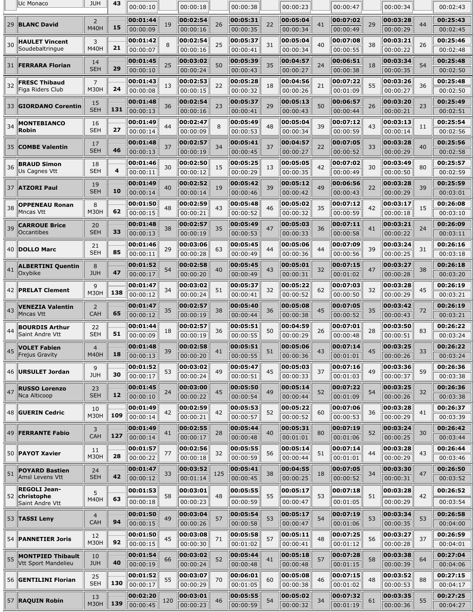|    | Uc Monaco                                | <b>JUH</b>                    | 43  | 00:00:10             |     | 00:00:18             |     | 00:00:38             |    | 00:00:23             |    | 00:00:47             |    | 00:00:34             |    | 00:02:43             |
|----|------------------------------------------|-------------------------------|-----|----------------------|-----|----------------------|-----|----------------------|----|----------------------|----|----------------------|----|----------------------|----|----------------------|
|    | 29 BLANC David                           | 2                             |     | 00:01:44             | 19  | 00:02:54             | 26  | 00:05:31             | 22 | 00:05:04             | 41 | 00:07:02             | 29 | 00:03:28             | 44 | 00:25:43             |
|    |                                          | <b>M40H</b>                   | 15  | 00:00:09             |     | 00:00:16             |     | 00:00:35             |    | 00:00:34             |    | 00:00:49             |    | 00:00:29             |    | 00:02:45             |
| 30 | <b>HAULET Vincent</b>                    | 3                             |     | 00:01:42             | 8   | 00:02:54             | 25  | 00:05:37             | 31 | 00:05:04             | 40 | 00:07:08             | 38 | 00:03:21             | 26 | 00:25:46             |
|    | Soudebaltringue                          | <b>M40H</b>                   | 21  | 00:00:07             |     | 00:00:16             |     | 00:00:41             |    | 00:00:34             |    | 00:00:55             |    | 00:00:22             |    | 00:02:48             |
|    | 31  FERRARA Florian                      | 14                            | 29  | 00:01:45             | 25  | 00:03:02             | 50  | 00:05:39             | 35 | 00:04:57             | 24 | 00:06:51             | 18 | 00:03:34             | 54 | 00:25:48             |
|    |                                          | <b>SEH</b>                    |     | 00:00:10             |     | 00:00:24             |     | 00:00:43             |    | 00:00:27             |    | 00:00:38             |    | 00:00:35             |    | 00:02:50             |
| 32 | <b>FRESC Thibaud</b><br>Figa Riders Club | $\overline{7}$<br><b>M30H</b> | 24  | 00:01:43<br>00:00:08 | 13  | 00:02:53             | 22  | 00:05:28             | 18 | 00:04:56             | 21 | 00:07:22             | 55 | 00:03:26             | 36 | 00:25:48             |
|    |                                          |                               |     |                      |     | 00:00:15             |     | 00:00:32             |    | 00:00:26             |    | 00:01:09             |    | 00:00:27             |    | 00:02:50             |
|    | 33 GIORDANO Corentin                     | 15<br><b>SEH</b>              | 131 | 00:01:48<br>00:00:13 | 36  | 00:02:54<br>00:00:16 | 23  | 00:05:37<br>00:00:41 | 29 | 00:05:13<br>00:00:43 | 50 | 00:06:57<br>00:00:44 | 26 | 00:03:20<br>00:00:21 | 23 | 00:25:49<br>00:02:51 |
|    |                                          |                               |     | 00:01:49             |     | 00:02:47             |     | 00:05:49             |    | 00:05:04             |    | 00:07:12             |    | 00:03:13             |    | 00:25:54             |
| 34 | <b>MONTEBIANCO</b><br><b>Robin</b>       | 16<br><b>SEH</b>              | 27  | 00:00:14             | 44  | 00:00:09             | 8   | 00:00:53             | 48 | 00:00:34             | 39 | 00:00:59             | 43 | 00:00:14             | 11 | 00:02:56             |
|    |                                          | 17                            |     | 00:01:48             |     | 00:02:57             |     | 00:05:41             |    | 00:04:57             |    | 00:07:05             |    | 00:03:28             |    | 00:25:56             |
|    | 35 COMBE Valentin                        | <b>SEH</b>                    | 46  | 00:00:13             | 37  | 00:00:19             | 34  | 00:00:45             | 37 | 00:00:27             | 22 | 00:00:52             | 33 | 00:00:29             | 40 | 00:02:58             |
|    | <b>BRAUD Simon</b>                       | 18                            |     | 00:01:46             |     | 00:02:50             |     | 00:05:25             |    | 00:05:05             |    | 00:07:02             |    | 00:03:49             |    | 00:25:57             |
| 36 | Us Cagnes Vtt                            | <b>SEH</b>                    | 4   | 00:00:11             | 30  | 00:00:12             | 15  | 00:00:29             | 13 | 00:00:35             | 42 | 00:00:49             | 30 | 00:00:50             | 80 | 00:02:59             |
|    | 37 ATZORI Paul                           | 19                            |     | 00:01:49             | 40  | 00:02:52             | 19  | 00:05:42             | 39 | 00:05:12             | 49 | 00:06:56             | 22 | 00:03:28             | 39 | 00:25:59             |
|    |                                          | <b>SEH</b>                    | 10  | 00:00:14             |     | 00:00:14             |     | 00:00:46             |    | 00:00:42             |    | 00:00:43             |    | 00:00:29             |    | 00:03:01             |
| 38 | <b>OPPENEAU Ronan</b>                    | 8                             |     | 00:01:50             | 48  | 00:02:59             | 43  | 00:05:48             | 46 | 00:05:02             | 35 | 00:07:12             | 42 | 00:03:17             | 15 | 00:26:08             |
|    | Mncas Vtt                                | <b>M30H</b>                   | 62  | 00:00:15             |     | 00:00:21             |     | 00:00:52             |    | 00:00:32             |    | 00:00:59             |    | 00:00:18             |    | 00:03:10             |
| 39 | <b>CARROUE Brice</b>                     | 20                            | 33  | 00:01:48             | 38  | 00:02:57             | 35  | 00:05:49             | 47 | 00:05:03             | 36 | 00:07:11             | 41 | 00:03:21             | 24 | 00:26:09             |
|    | Occantibes                               | <b>SEH</b>                    |     | 00:00:13             |     | 00:00:19             |     | 00:00:53             |    | 00:00:33             |    | 00:00:58             |    | 00:00:22             |    | 00:03:11             |
|    | 40 <b>DOLLO Marc</b>                     | 21<br><b>SEH</b>              | 85  | 00:01:46<br>00:00:11 | 29  | 00:03:06<br>00:00:28 | 63  | 00:05:45<br>00:00:49 | 44 | 00:05:06<br>00:00:36 | 44 | 00:07:09<br>00:00:56 | 39 | 00:03:24<br>00:00:25 | 31 | 00:26:16<br>00:03:18 |
|    |                                          |                               |     |                      |     |                      |     |                      |    |                      |    |                      |    |                      |    |                      |
| 41 | <b>ALBERTINI Quentin</b><br>Oxybike      | 8<br><b>JUH</b>               | 47  | 00:01:52<br>00:00:17 | 54  | 00:02:58<br>00:00:20 | 40  | 00:05:45<br>00:00:49 | 43 | 00:05:01<br>00:00:31 | 32 | 00:07:15<br>00:01:02 | 47 | 00:03:27<br>00:00:28 | 38 | 00:26:18<br>00:03:20 |
|    |                                          | 9                             |     | 00:01:47             |     | 00:03:02             |     | 00:05:37             |    | 00:05:22             |    | 00:07:03             |    | 00:03:28             |    | 00:26:19             |
|    | 42   PRELAT Clement                      | <b>M30H</b>                   | 138 | 00:00:12             | 34  | 00:00:24             | 51  | 00:00:41             | 32 | 00:00:52             | 62 | 00:00:50             | 32 | 00:00:29             | 45 | 00:03:21             |
|    | <b>VENEZIA Valentin</b>                  | $\overline{2}$                |     | 00:01:47             |     | 00:02:57             |     | 00:05:40             |    | 00:05:08             |    | 00:07:05             |    | 00:03:42             |    | 00:26:19             |
| 43 | Mncas Vtt                                | <b>CAH</b>                    | 65  | 00:00:12             | 35  | 00:00:19             | 38  | 00:00:44             | 36 | 00:00:38             | 45 | 00:00:52             | 35 | 00:00:43             | 72 | 00:03:21             |
|    | <b>BOURDIS Arthur</b>                    | 22                            |     | 00:01:44             |     | 00:02:57             |     | 00:05:51             |    | 00:04:59             |    | 00:07:01             |    | 00:03:50             |    | 00:26:22             |
| 44 | Saint Andre Vtt                          | <b>SEH</b>                    | 51  | 00:00:09             | 18  | 00:00:19             | 36  | 00:00:55             | 50 | 00:00:29             | 26 | 00:00:48             | 28 | 00:00:51             | 83 | 00:03:24             |
| 45 | <b>VOLET Fabien</b>                      | $\overline{4}$                |     | 00:01:48             | 39  | 00:02:58             | 41  | 00:05:51             | 51 | 00:05:06             | 43 | 00:07:14             | 45 | 00:03:25             | 33 | 00:26:22             |
|    | <b>Frejus Gravity</b>                    | <b>M40H</b>                   | 18  | 00:00:13             |     | 00:00:20             |     | 00:00:55             |    | 00:00:36             |    | 00:01:01             |    | 00:00:26             |    | 00:03:24             |
|    | 46   URSULET Jordan                      | 9                             |     | 00:01:52             | 53  | 00:03:02             | 49  | 00:05:47             | 45 | 00:05:03             | 37 | 00:07:16             | 49 | 00:03:36             | 59 | 00:26:36             |
|    |                                          | <b>JUH</b>                    | 30  | 00:00:17             |     | 00:00:24             |     | 00:00:51             |    | 00:00:33             |    | 00:01:03             |    | 00:00:37             |    | 00:03:38             |
| 47 | <b>RUSSO Lorenzo</b><br>Nca Alticoop     | 23<br><b>SEH</b>              | 12  | 00:01:45             | 24  | 00:03:00             | 45  | 00:05:50             | 49 | 00:05:14             | 52 | 00:07:22             | 54 | 00:03:25             | 32 | 00:26:36             |
|    |                                          |                               |     | 00:00:10             |     | 00:00:22             |     | 00:00:54             |    | 00:00:44             |    | 00:01:09             |    | 00:00:26             |    | 00:03:38             |
|    | 48 <b>GUERIN Cedric</b>                  | 10<br><b>M30H</b>             | 109 | 00:01:49<br>00:00:14 | 42  | 00:02:59<br>00:00:21 | 42  | 00:05:53<br>00:00:57 | 52 | 00:05:22<br>00:00:52 | 60 | 00:07:06<br>00:00:53 | 36 | 00:03:28<br>00:00:29 | 41 | 00:26:37<br>00:03:39 |
|    |                                          |                               |     | 00:01:49             |     | 00:02:55             |     | 00:05:44             |    | 00:05:31             |    | 00:07:19             |    | 00:03:24             |    | 00:26:42             |
|    | 49 <b>FERRANTE Fabio</b>                 | 3<br><b>CAH</b>               | 127 | 00:00:14             | 41  | 00:00:17             | 28  | 00:00:48             | 40 | 00:01:01             | 80 | 00:01:06             | 52 | 00:00:25             | 30 | 00:03:44             |
|    |                                          | 11                            |     | 00:01:57             |     | 00:02:56             |     | 00:05:55             |    | 00:05:14             |    | 00:07:14             |    | 00:03:28             |    | 00:26:44             |
|    | 50   PAYOT Xavier                        | M30H                          | 28  | 00:00:22             | 77  | 00:00:18             | 32  | 00:00:59             | 56 | 00:00:44             | 51 | 00:01:01             | 44 | 00:00:29             | 43 | 00:03:46             |
|    | <b>POYARD Bastien</b>                    | 24                            |     | 00:01:47             |     | 00:03:52             |     | 00:05:41             |    | 00:04:55             |    | 00:07:05             |    | 00:03:30             |    | 00:26:50             |
| 51 | Amsl Levens Vtt                          | <b>SEH</b>                    | 42  | 00:00:12             | 33  | 00:01:14             | 125 | 00:00:45             | 38 | 00:00:25             | 18 | 00:00:52             | 34 | 00:00:31             | 47 | 00:03:52             |
|    | <b>REGOLI Jean-</b>                      | 5                             |     | 00:01:53             |     | 00:03:01             |     | 00:05:55             |    | 00:05:17             |    | 00:07:18             |    | 00:03:28             |    | 00:26:52             |
|    | 52 christophe<br>Saint Andre Vtt         | <b>M40H</b>                   | 63  | 00:00:18             | 58  | 00:00:23             | 48  | 00:00:59             | 55 | 00:00:47             | 53 | 00:01:05             | 51 | 00:00:29             | 42 | 00:03:54             |
|    |                                          | 4                             |     | 00:01:50             |     | 00:03:04             |     | 00:05:54             |    | 00:05:17             |    | 00:07:19             |    | 00:03:34             |    | 00:26:58             |
|    | 53 TASSI Leny                            | <b>CAH</b>                    | 94  | 00:00:15             | 49  | 00:00:26             | 57  | 00:00:58             | 53 | 00:00:47             | 54 | 00:01:06             | 53 | 00:00:35             | 53 | 00:04:00             |
|    |                                          | 12                            |     | 00:01:50             |     | 00:03:08             |     | 00:05:58             |    | 00:05:11             |    | 00:07:25             |    | 00:03:27             |    | 00:26:59             |
|    | 54   PANNETIER Joris                     | <b>M30H</b>                   | 92  | 00:00:15             | 45  | 00:00:30             | 71  | 00:01:02             | 57 | 00:00:41             | 48 | 00:01:12             | 56 | 00:00:28             | 37 | 00:04:01             |
| 55 | MONTPIED Thibault                        | 10                            |     | 00:01:54             | 66  | 00:03:02             | 52  | 00:05:44             | 41 | 00:05:18             | 57 | 00:07:28             | 58 | 00:03:38             | 64 | 00:27:04             |
|    | Vtt Sport Mandelieu                      | <b>JUH</b>                    | 40  | 00:00:19             |     | 00:00:24             |     | 00:00:48             |    | 00:00:48             |    | 00:01:15             |    | 00:00:39             |    | 00:04:06             |
|    | 56 <b>GENTILINI Florian</b>              | 25                            |     | 00:01:52             | 55  | 00:03:07             | 70  | 00:06:01             | 60 | 00:05:08             | 46 | 00:07:15             | 48 | 00:03:52             | 88 | 00:27:15             |
|    |                                          | <b>SEH</b>                    | 130 | 00:00:17             |     | 00:00:29             |     | 00:01:05             |    | 00:00:38             |    | 00:01:02             |    | 00:00:53             |    | 00:04:17             |
|    | 57 RAQUIN Robin                          | 13<br><b>M30H</b>             | 139 | 00:02:20             | 120 | 00:03:01             | 46  | 00:05:55             | 54 | 00:05:02             | 34 | 00:07:32             | 61 | 00:03:35             | 55 | 00:27:25             |
|    |                                          |                               |     | 00:00:45             |     | 00:00:23             |     | 00:00:59             |    | 00:00:32             |    | 00:01:19             |    | 00:00:36             |    | 00:04:27             |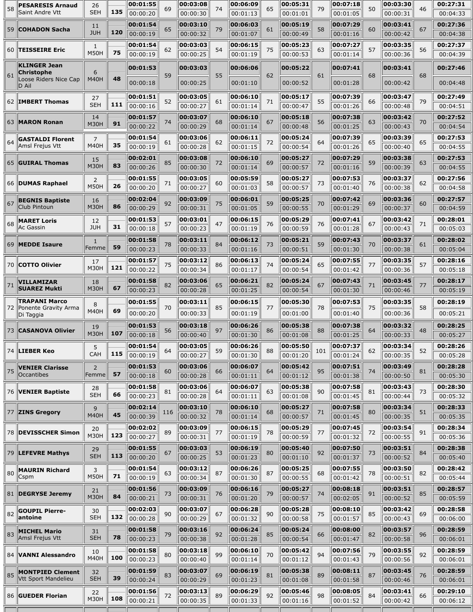| 00:27:36<br>00:01:54<br>00:03:10<br>00:06:03<br>00:05:19<br>00:07:29<br>00:03:41<br>11<br>65<br>79<br>61<br>58<br>59<br><b>COHADON Sacha</b><br>60<br>67<br><b>JUH</b><br>120<br>00:00:19<br>00:00:32<br>00:00:42<br>00:01:07<br>00:00:49<br>00:01:16<br>00:04:38<br>00:01:54<br>00:03:03<br>00:06:15<br>00:05:23<br>00:07:27<br>00:27:37<br>00:03:35<br>1<br><b>TEISSEIRE Eric</b><br>62<br>54<br>75<br>57<br>56<br>60<br>63<br>75<br><b>M50H</b><br>00:00:19<br>00:00:25<br>00:01:19<br>00:00:53<br>00:01:14<br>00:00:36<br>00:04:39<br><b>KLINGER Jean</b><br>00:01:53<br>00:03:03<br>00:05:22<br>00:03:41<br>00:27:46<br>00:06:06<br>00:07:41<br>Christophe<br>6<br>59<br>55<br>61<br>62<br>61<br>68<br>68<br>48<br>Loose Riders Nice Cap<br><b>M40H</b><br>00:00:18<br>00:04:48<br>00:00:25<br>00:01:10<br>00:00:52<br>00:01:28<br>00:00:42<br>D Ail<br>00:01:51<br>00:03:05<br>00:06:10<br>00:05:17<br>00:07:39<br>00:27:49<br>00:03:47<br>27<br>55<br>62 <b>IMBERT Thomas</b><br>52<br>61<br>71<br>66<br>79<br>111<br><b>SEH</b><br>00:00:16<br>00:00:27<br>00:01:14<br>00:00:47<br>00:01:26<br>00:00:48<br>00:04:51<br>00:27:52<br>14<br>00:01:57<br>00:03:07<br>00:06:10<br>00:05:18<br>00:07:38<br>00:03:42<br>68<br>67<br>56<br>63 MARON Ronan<br>74<br>63<br>70<br>91<br><b>M30H</b><br>00:00:22<br>00:01:25<br>00:00:43<br>00:00:29<br>00:01:14<br>00:00:48<br>00:04:54<br>00:01:54<br>00:03:06<br>00:06:11<br>00:05:24<br>00:07:39<br>00:27:53<br>00:03:39<br><b>GASTALDI Florent</b><br>7<br>72<br>65<br>65<br>64<br>61<br>62<br>64<br>35<br>Amsl Frejus Vtt<br><b>M40H</b><br>00:00:19<br>00:00:28<br>00:01:15<br>00:00:54<br>00:01:26<br>00:00:40<br>00:04:55<br>00:27:53<br>00:02:01<br>00:03:08<br>00:06:10<br>00:05:27<br>00:07:29<br>00:03:38<br>15<br>59<br><b>GUIRAL Thomas</b><br>85<br>72<br>69<br>65<br>72<br>63<br>83<br><b>M30H</b><br>00:00:26<br>00:00:39<br>00:00:30<br>00:01:14<br>00:00:57<br>00:01:16<br>00:04:55<br>00:01:55<br>00:03:05<br>00:05:59<br>00:07:53<br>00:03:37<br>00:27:56<br>00:05:27<br>2<br>58<br>66   DUMAS Raphael<br>62<br>71<br>60<br>73<br>76<br><b>M50H</b><br>26<br>00:00:20<br>00:00:27<br>00:01:03<br>00:00:57<br>00:01:40<br>00:00:38<br>00:04:58<br>00:02:04<br>00:03:09<br>00:05:25<br>00:07:42<br>00:27:57<br>00:06:01<br>00:03:36<br><b>BEGNIS Baptiste</b><br>16<br>67<br>75<br>59<br>92<br>70<br>69<br>60<br>Club Pintoun<br>86<br><b>M30H</b><br>00:00:29<br>00:00:31<br>00:01:05<br>00:00:55<br>00:01:29<br>00:00:37<br>00:04:59<br>00:01:53<br>00:03:01<br>00:07:41<br>00:28:01<br>00:06:15<br>00:05:29<br>00:03:42<br><b>MARET Loris</b><br>12<br>68<br>57<br>47<br>76<br>76<br>67<br>71<br>31<br>Ac Gassin<br><b>JUH</b><br>00:00:18<br>00:00:23<br>00:01:19<br>00:00:59<br>00:01:28<br>00:00:43<br>00:05:03<br>00:01:58<br>00:03:11<br>00:06:12<br>00:05:21<br>00:07:43<br>00:03:37<br>00:28:02<br>1<br><b>MEDDE Isaure</b><br>59<br>69<br>78<br>84<br>73<br>70<br>61<br>59<br>Femme<br>00:00:23<br>00:00:33<br>00:01:16<br>00:00:51<br>00:01:30<br>00:00:38<br>00:05:04<br>00:01:57<br>00:03:12<br>00:06:13<br>00:05:24<br>00:07:55<br>00:03:35<br>00:28:16<br>17<br><b>COTTO Olivier</b><br>75<br>86<br>74<br>70<br>65<br>77<br>57<br>121<br>M30H<br>00:00:22<br>00:00:34<br>00:00:54<br>00:01:42<br>00:05:18<br>00:01:17<br>00:00:36<br>00:01:58<br>00:03:06<br>00:06:21<br>00:05:24<br>00:07:43<br>00:03:45<br>00:28:17<br>VILLAMIZAR<br>18<br>71<br>82<br>65<br>82<br>77<br>67<br>71<br><b>SUAREZ Mukti</b><br>67<br><b>M30H</b><br>00:00:23<br>00:00:28<br>00:01:25<br>00:00:54<br>00:00:46<br>00:05:19<br>00:01:30<br><b>TRAPANI Marco</b><br>00:01:55<br>00:03:11<br>00:06:15<br>00:05:30<br>00:07:53<br>00:03:35<br>00:28:19<br>8<br>85<br>Ponente Gravity Arma<br>77<br>78<br>75<br>58<br>70<br>72<br>69<br><b>M40H</b><br>00:00:20<br>00:05:21<br>00:00:33<br>00:01:19<br>00:01:00<br>00:01:40<br>00:00:36<br>Di Taggia<br>00:01:53<br>00:03:18<br>00:06:26<br>00:05:38<br>00:07:38<br>00:28:25<br>00:03:32<br>19<br>97<br>73 CASANOVA Olivier<br>56<br>86<br>88<br>48<br>64<br><b>M30H</b><br>107<br>00:00:18<br>00:00:33<br>00:00:40<br>00:01:30<br>00:01:08<br>00:01:25<br>00:05:27<br>00:01:54<br>00:03:05<br>00:06:26<br> 00:05:50 <br>00:07:37<br> 00:03:34 <br>00:28:26<br>5<br>74    <b>LIEBER Keo</b><br>64<br>59<br>88<br>101<br>62<br>52<br>CAH<br>115<br>00:00:19<br>00:00:27<br>00:01:20<br>00:00:35<br>00:05:28<br>00:01:30<br>00:01:24<br>00:01:53<br>00:03:06<br>00:06:07<br>00:05:42<br>00:07:51<br>00:28:28<br>00:03:49<br>2<br><b>VENIER Clarisse</b><br>75<br>95<br>74<br>60<br>66<br>64<br>81<br><b>Occantibes</b><br>57<br>Femme<br>00:00:18<br>00:00:28<br>00:01:11<br>00:01:38<br>00:00:50<br>00:05:30<br>00:01:12<br>00:01:58<br>00:03:06<br>00:06:07<br>00:05:38<br>00:07:58<br>00:03:43<br>00:28:30<br>28<br>76 VENIER Baptiste<br>63<br>90<br>81<br>64<br>81<br>73<br>66<br><b>SEH</b><br>00:00:23<br>00:00:44<br>00:00:28<br>00:01:11<br>00:01:08<br>00:01:45<br>00:05:32<br>00:02:14<br>00:03:10<br>00:06:10<br>00:05:27<br>00:07:58<br>00:03:34<br>00:28:33<br>9<br>51<br>116<br>78<br>68<br>71<br>80<br>77 ZINS Gregory<br>45<br><b>M40H</b><br>00:00:39<br>00:00:32<br>00:01:14<br>00:00:57<br>00:01:45<br>00:00:35<br>00:05:35<br>00:02:02<br>00:03:09<br>00:06:15<br>00:05:29<br>00:07:45<br>00:03:54<br>00:28:34<br>20<br>78   DEVISSCHER Simon<br>89<br>77<br>78<br>91<br>77<br>72<br><b>M30H</b><br>123<br>00:00:27<br>00:00:55<br>00:01:32<br>00:00:31<br>00:01:19<br>00:00:59<br>00:05:36<br>00:03:03<br>00:01:55<br>00:06:19<br>00:05:40<br>00:07:50<br>00:28:38<br>00:03:51<br>29<br>79  LEFEVRE Mathys<br>67<br>53<br>73<br>84<br>80<br>92<br><b>SEH</b><br>113<br>00:00:20<br>00:01:23<br>00:00:52<br>00:00:25<br>00:01:10<br>00:01:37<br>00:05:40<br>00:28:42<br>00:01:54<br>00:03:12<br>00:06:26<br>00:05:25<br>00:07:55<br>00:03:50<br>3<br><b>MAURIN Richard</b><br>80<br>63<br>87<br>87<br>68<br>78<br>82<br><b>M50H</b><br>71<br>Cspm<br>00:00:19<br>00:01:30<br>00:00:55<br>00:01:42<br>00:00:51<br>00:05:44<br>00:00:34<br>00:01:56<br>00:03:09<br>00:06:16<br>00:05:27<br>00:28:57<br>00:08:18<br>00:03:51<br>21<br>79<br>81   DEGRYSE Jeremy<br>73<br>74<br>85<br>76<br>91<br><b>M30H</b><br>84<br>00:00:52<br>00:00:21<br>00:01:20<br>00:00:31<br>00:00:57<br>00:02:05<br>00:05:59<br>00:02:03<br>00:03:07<br>00:06:28<br>00:05:28<br>00:08:10<br>00:03:42<br>00:28:58<br><b>GOUPIL Pierre-</b><br>30<br>82<br>90<br>90<br>85<br>67<br>75<br>69<br>antoine<br>132<br><b>SEH</b><br>00:00:28<br>00:00:29<br>00:01:32<br>00:00:58<br>00:01:57<br>00:00:43<br>00:06:00<br>00:01:58<br>00:03:16<br>00:06:24<br>00:05:24<br>00:08:00<br>00:03:57<br>00:28:59<br><b>MICHEL Mario</b><br>31<br>83<br>79<br>92<br>85<br>82<br>96<br>66<br>Amsl Frejus Vtt<br>78<br><b>SEH</b><br>00:00:23<br>00:00:58<br>00:00:38<br>00:01:28<br>00:00:54<br>00:01:47<br>00:06:01<br>00:01:58<br>00:03:18<br>00:06:10<br>00:05:42<br>00:07:56<br>00:28:59<br>00:03:55<br>10<br>84 VANNI Alessandro<br>99<br>79<br>92<br>80<br>70<br>94<br><b>M40H</b><br>100<br>00:00:23<br>00:00:40<br>00:01:14<br>00:01:43<br>00:00:56<br>00:06:01<br>00:01:12<br>00:01:59<br>00:05:38<br>00:28:59<br>00:03:07<br>00:06:19<br>00:08:11<br>00:03:45<br><b>MONTPIED Clement</b><br>32<br>85<br>83<br>69<br>89<br>87<br>81<br>76<br>Vtt Sport Mandelieu<br>39<br><b>SEH</b><br>00:00:24<br>00:00:29<br>00:01:23<br>00:01:08<br>00:01:58<br>00:00:46<br>00:06:01<br>00:06:29<br>00:05:46<br>00:08:05<br>00:29:10<br>00:01:56<br>00:03:13<br>00:03:41<br>22<br>92<br>86 GUEDER Florian<br>89<br>98<br>72<br>84<br>66<br>M30H<br>108<br>00:00:21<br>00:00:35<br>00:01:33<br>00:01:52<br>00:00:42<br>00:01:16<br>00:06:12 | 58 | <b>PESARESIS Arnaud</b><br>Saint Andre Vtt | 26<br><b>SEH</b> | 135 | 00:01:55<br>00:00:20 | 69 | 00:03:08<br>00:00:30 | 74 | 00:06:09<br>00:01:13 | 65 | 00:05:31<br>00:01:01 | 79 | 00:07:18<br>00:01:05 | 50 | 00:03:30<br>00:00:31 | 46 | 00:27:31<br>00:04:33 |
|--------------------------------------------------------------------------------------------------------------------------------------------------------------------------------------------------------------------------------------------------------------------------------------------------------------------------------------------------------------------------------------------------------------------------------------------------------------------------------------------------------------------------------------------------------------------------------------------------------------------------------------------------------------------------------------------------------------------------------------------------------------------------------------------------------------------------------------------------------------------------------------------------------------------------------------------------------------------------------------------------------------------------------------------------------------------------------------------------------------------------------------------------------------------------------------------------------------------------------------------------------------------------------------------------------------------------------------------------------------------------------------------------------------------------------------------------------------------------------------------------------------------------------------------------------------------------------------------------------------------------------------------------------------------------------------------------------------------------------------------------------------------------------------------------------------------------------------------------------------------------------------------------------------------------------------------------------------------------------------------------------------------------------------------------------------------------------------------------------------------------------------------------------------------------------------------------------------------------------------------------------------------------------------------------------------------------------------------------------------------------------------------------------------------------------------------------------------------------------------------------------------------------------------------------------------------------------------------------------------------------------------------------------------------------------------------------------------------------------------------------------------------------------------------------------------------------------------------------------------------------------------------------------------------------------------------------------------------------------------------------------------------------------------------------------------------------------------------------------------------------------------------------------------------------------------------------------------------------------------------------------------------------------------------------------------------------------------------------------------------------------------------------------------------------------------------------------------------------------------------------------------------------------------------------------------------------------------------------------------------------------------------------------------------------------------------------------------------------------------------------------------------------------------------------------------------------------------------------------------------------------------------------------------------------------------------------------------------------------------------------------------------------------------------------------------------------------------------------------------------------------------------------------------------------------------------------------------------------------------------------------------------------------------------------------------------------------------------------------------------------------------------------------------------------------------------------------------------------------------------------------------------------------------------------------------------------------------------------------------------------------------------------------------------------------------------------------------------------------------------------------------------------------------------------------------------------------------------------------------------------------------------------------------------------------------------------------------------------------------------------------------------------------------------------------------------------------------------------------------------------------------------------------------------------------------------------------------------------------------------------------------------------------------------------------------------------------------------------------------------------------------------------------------------------------------------------------------------------------------------------------------------------------------------------------------------------------------------------------------------------------------------------------------------------------------------------------------------------------------------------------------------------------------------------------------------------------------------------------------------------------------------------------------------------------------------------------------------------------------------------------------------------------------------------------------------------------------------------------------------------------------------------------------------------------------------------------------------------------------------------------------------------------------------------------------------------------------------------------------------------------------------------------------------------------------------------------------------------------------------------------------------------------------------------------------------------------------------------------------------------------------------------------------------------------------------------------------------------------------------------------------------------------------------------------------------------------------------------------------------------------------------------------------------------------------------------------------------------------------------------------------------------------------------------------------------------------------------------------------------------------------------------------------------------------------------------------------------------------------------------------------------------------------------------------------------------------------------------------------------------------------------------------------------------------------------------------------------------------------------------------------------------------------------------------------------------------------------------------------------------------------------------------------------------------------------------------------------------|----|--------------------------------------------|------------------|-----|----------------------|----|----------------------|----|----------------------|----|----------------------|----|----------------------|----|----------------------|----|----------------------|
|                                                                                                                                                                                                                                                                                                                                                                                                                                                                                                                                                                                                                                                                                                                                                                                                                                                                                                                                                                                                                                                                                                                                                                                                                                                                                                                                                                                                                                                                                                                                                                                                                                                                                                                                                                                                                                                                                                                                                                                                                                                                                                                                                                                                                                                                                                                                                                                                                                                                                                                                                                                                                                                                                                                                                                                                                                                                                                                                                                                                                                                                                                                                                                                                                                                                                                                                                                                                                                                                                                                                                                                                                                                                                                                                                                                                                                                                                                                                                                                                                                                                                                                                                                                                                                                                                                                                                                                                                                                                                                                                                                                                                                                                                                                                                                                                                                                                                                                                                                                                                                                                                                                                                                                                                                                                                                                                                                                                                                                                                                                                                                                                                                                                                                                                                                                                                                                                                                                                                                                                                                                                                                                                                                                                                                                                                                                                                                                                                                                                                                                                                                                                                                                                                                                                                                                                                                                                                                                                                                                                                                                                                                                                                                                                                                                                                                                                                                                                                                                                                                                                                                                                                                                                                                                          |    |                                            |                  |     |                      |    |                      |    |                      |    |                      |    |                      |    |                      |    |                      |
|                                                                                                                                                                                                                                                                                                                                                                                                                                                                                                                                                                                                                                                                                                                                                                                                                                                                                                                                                                                                                                                                                                                                                                                                                                                                                                                                                                                                                                                                                                                                                                                                                                                                                                                                                                                                                                                                                                                                                                                                                                                                                                                                                                                                                                                                                                                                                                                                                                                                                                                                                                                                                                                                                                                                                                                                                                                                                                                                                                                                                                                                                                                                                                                                                                                                                                                                                                                                                                                                                                                                                                                                                                                                                                                                                                                                                                                                                                                                                                                                                                                                                                                                                                                                                                                                                                                                                                                                                                                                                                                                                                                                                                                                                                                                                                                                                                                                                                                                                                                                                                                                                                                                                                                                                                                                                                                                                                                                                                                                                                                                                                                                                                                                                                                                                                                                                                                                                                                                                                                                                                                                                                                                                                                                                                                                                                                                                                                                                                                                                                                                                                                                                                                                                                                                                                                                                                                                                                                                                                                                                                                                                                                                                                                                                                                                                                                                                                                                                                                                                                                                                                                                                                                                                                                          |    |                                            |                  |     |                      |    |                      |    |                      |    |                      |    |                      |    |                      |    |                      |
|                                                                                                                                                                                                                                                                                                                                                                                                                                                                                                                                                                                                                                                                                                                                                                                                                                                                                                                                                                                                                                                                                                                                                                                                                                                                                                                                                                                                                                                                                                                                                                                                                                                                                                                                                                                                                                                                                                                                                                                                                                                                                                                                                                                                                                                                                                                                                                                                                                                                                                                                                                                                                                                                                                                                                                                                                                                                                                                                                                                                                                                                                                                                                                                                                                                                                                                                                                                                                                                                                                                                                                                                                                                                                                                                                                                                                                                                                                                                                                                                                                                                                                                                                                                                                                                                                                                                                                                                                                                                                                                                                                                                                                                                                                                                                                                                                                                                                                                                                                                                                                                                                                                                                                                                                                                                                                                                                                                                                                                                                                                                                                                                                                                                                                                                                                                                                                                                                                                                                                                                                                                                                                                                                                                                                                                                                                                                                                                                                                                                                                                                                                                                                                                                                                                                                                                                                                                                                                                                                                                                                                                                                                                                                                                                                                                                                                                                                                                                                                                                                                                                                                                                                                                                                                                          |    |                                            |                  |     |                      |    |                      |    |                      |    |                      |    |                      |    |                      |    |                      |
|                                                                                                                                                                                                                                                                                                                                                                                                                                                                                                                                                                                                                                                                                                                                                                                                                                                                                                                                                                                                                                                                                                                                                                                                                                                                                                                                                                                                                                                                                                                                                                                                                                                                                                                                                                                                                                                                                                                                                                                                                                                                                                                                                                                                                                                                                                                                                                                                                                                                                                                                                                                                                                                                                                                                                                                                                                                                                                                                                                                                                                                                                                                                                                                                                                                                                                                                                                                                                                                                                                                                                                                                                                                                                                                                                                                                                                                                                                                                                                                                                                                                                                                                                                                                                                                                                                                                                                                                                                                                                                                                                                                                                                                                                                                                                                                                                                                                                                                                                                                                                                                                                                                                                                                                                                                                                                                                                                                                                                                                                                                                                                                                                                                                                                                                                                                                                                                                                                                                                                                                                                                                                                                                                                                                                                                                                                                                                                                                                                                                                                                                                                                                                                                                                                                                                                                                                                                                                                                                                                                                                                                                                                                                                                                                                                                                                                                                                                                                                                                                                                                                                                                                                                                                                                                          |    |                                            |                  |     |                      |    |                      |    |                      |    |                      |    |                      |    |                      |    |                      |
|                                                                                                                                                                                                                                                                                                                                                                                                                                                                                                                                                                                                                                                                                                                                                                                                                                                                                                                                                                                                                                                                                                                                                                                                                                                                                                                                                                                                                                                                                                                                                                                                                                                                                                                                                                                                                                                                                                                                                                                                                                                                                                                                                                                                                                                                                                                                                                                                                                                                                                                                                                                                                                                                                                                                                                                                                                                                                                                                                                                                                                                                                                                                                                                                                                                                                                                                                                                                                                                                                                                                                                                                                                                                                                                                                                                                                                                                                                                                                                                                                                                                                                                                                                                                                                                                                                                                                                                                                                                                                                                                                                                                                                                                                                                                                                                                                                                                                                                                                                                                                                                                                                                                                                                                                                                                                                                                                                                                                                                                                                                                                                                                                                                                                                                                                                                                                                                                                                                                                                                                                                                                                                                                                                                                                                                                                                                                                                                                                                                                                                                                                                                                                                                                                                                                                                                                                                                                                                                                                                                                                                                                                                                                                                                                                                                                                                                                                                                                                                                                                                                                                                                                                                                                                                                          |    |                                            |                  |     |                      |    |                      |    |                      |    |                      |    |                      |    |                      |    |                      |
|                                                                                                                                                                                                                                                                                                                                                                                                                                                                                                                                                                                                                                                                                                                                                                                                                                                                                                                                                                                                                                                                                                                                                                                                                                                                                                                                                                                                                                                                                                                                                                                                                                                                                                                                                                                                                                                                                                                                                                                                                                                                                                                                                                                                                                                                                                                                                                                                                                                                                                                                                                                                                                                                                                                                                                                                                                                                                                                                                                                                                                                                                                                                                                                                                                                                                                                                                                                                                                                                                                                                                                                                                                                                                                                                                                                                                                                                                                                                                                                                                                                                                                                                                                                                                                                                                                                                                                                                                                                                                                                                                                                                                                                                                                                                                                                                                                                                                                                                                                                                                                                                                                                                                                                                                                                                                                                                                                                                                                                                                                                                                                                                                                                                                                                                                                                                                                                                                                                                                                                                                                                                                                                                                                                                                                                                                                                                                                                                                                                                                                                                                                                                                                                                                                                                                                                                                                                                                                                                                                                                                                                                                                                                                                                                                                                                                                                                                                                                                                                                                                                                                                                                                                                                                                                          |    |                                            |                  |     |                      |    |                      |    |                      |    |                      |    |                      |    |                      |    |                      |
|                                                                                                                                                                                                                                                                                                                                                                                                                                                                                                                                                                                                                                                                                                                                                                                                                                                                                                                                                                                                                                                                                                                                                                                                                                                                                                                                                                                                                                                                                                                                                                                                                                                                                                                                                                                                                                                                                                                                                                                                                                                                                                                                                                                                                                                                                                                                                                                                                                                                                                                                                                                                                                                                                                                                                                                                                                                                                                                                                                                                                                                                                                                                                                                                                                                                                                                                                                                                                                                                                                                                                                                                                                                                                                                                                                                                                                                                                                                                                                                                                                                                                                                                                                                                                                                                                                                                                                                                                                                                                                                                                                                                                                                                                                                                                                                                                                                                                                                                                                                                                                                                                                                                                                                                                                                                                                                                                                                                                                                                                                                                                                                                                                                                                                                                                                                                                                                                                                                                                                                                                                                                                                                                                                                                                                                                                                                                                                                                                                                                                                                                                                                                                                                                                                                                                                                                                                                                                                                                                                                                                                                                                                                                                                                                                                                                                                                                                                                                                                                                                                                                                                                                                                                                                                                          |    |                                            |                  |     |                      |    |                      |    |                      |    |                      |    |                      |    |                      |    |                      |
|                                                                                                                                                                                                                                                                                                                                                                                                                                                                                                                                                                                                                                                                                                                                                                                                                                                                                                                                                                                                                                                                                                                                                                                                                                                                                                                                                                                                                                                                                                                                                                                                                                                                                                                                                                                                                                                                                                                                                                                                                                                                                                                                                                                                                                                                                                                                                                                                                                                                                                                                                                                                                                                                                                                                                                                                                                                                                                                                                                                                                                                                                                                                                                                                                                                                                                                                                                                                                                                                                                                                                                                                                                                                                                                                                                                                                                                                                                                                                                                                                                                                                                                                                                                                                                                                                                                                                                                                                                                                                                                                                                                                                                                                                                                                                                                                                                                                                                                                                                                                                                                                                                                                                                                                                                                                                                                                                                                                                                                                                                                                                                                                                                                                                                                                                                                                                                                                                                                                                                                                                                                                                                                                                                                                                                                                                                                                                                                                                                                                                                                                                                                                                                                                                                                                                                                                                                                                                                                                                                                                                                                                                                                                                                                                                                                                                                                                                                                                                                                                                                                                                                                                                                                                                                                          |    |                                            |                  |     |                      |    |                      |    |                      |    |                      |    |                      |    |                      |    |                      |
|                                                                                                                                                                                                                                                                                                                                                                                                                                                                                                                                                                                                                                                                                                                                                                                                                                                                                                                                                                                                                                                                                                                                                                                                                                                                                                                                                                                                                                                                                                                                                                                                                                                                                                                                                                                                                                                                                                                                                                                                                                                                                                                                                                                                                                                                                                                                                                                                                                                                                                                                                                                                                                                                                                                                                                                                                                                                                                                                                                                                                                                                                                                                                                                                                                                                                                                                                                                                                                                                                                                                                                                                                                                                                                                                                                                                                                                                                                                                                                                                                                                                                                                                                                                                                                                                                                                                                                                                                                                                                                                                                                                                                                                                                                                                                                                                                                                                                                                                                                                                                                                                                                                                                                                                                                                                                                                                                                                                                                                                                                                                                                                                                                                                                                                                                                                                                                                                                                                                                                                                                                                                                                                                                                                                                                                                                                                                                                                                                                                                                                                                                                                                                                                                                                                                                                                                                                                                                                                                                                                                                                                                                                                                                                                                                                                                                                                                                                                                                                                                                                                                                                                                                                                                                                                          |    |                                            |                  |     |                      |    |                      |    |                      |    |                      |    |                      |    |                      |    |                      |
|                                                                                                                                                                                                                                                                                                                                                                                                                                                                                                                                                                                                                                                                                                                                                                                                                                                                                                                                                                                                                                                                                                                                                                                                                                                                                                                                                                                                                                                                                                                                                                                                                                                                                                                                                                                                                                                                                                                                                                                                                                                                                                                                                                                                                                                                                                                                                                                                                                                                                                                                                                                                                                                                                                                                                                                                                                                                                                                                                                                                                                                                                                                                                                                                                                                                                                                                                                                                                                                                                                                                                                                                                                                                                                                                                                                                                                                                                                                                                                                                                                                                                                                                                                                                                                                                                                                                                                                                                                                                                                                                                                                                                                                                                                                                                                                                                                                                                                                                                                                                                                                                                                                                                                                                                                                                                                                                                                                                                                                                                                                                                                                                                                                                                                                                                                                                                                                                                                                                                                                                                                                                                                                                                                                                                                                                                                                                                                                                                                                                                                                                                                                                                                                                                                                                                                                                                                                                                                                                                                                                                                                                                                                                                                                                                                                                                                                                                                                                                                                                                                                                                                                                                                                                                                                          |    |                                            |                  |     |                      |    |                      |    |                      |    |                      |    |                      |    |                      |    |                      |
|                                                                                                                                                                                                                                                                                                                                                                                                                                                                                                                                                                                                                                                                                                                                                                                                                                                                                                                                                                                                                                                                                                                                                                                                                                                                                                                                                                                                                                                                                                                                                                                                                                                                                                                                                                                                                                                                                                                                                                                                                                                                                                                                                                                                                                                                                                                                                                                                                                                                                                                                                                                                                                                                                                                                                                                                                                                                                                                                                                                                                                                                                                                                                                                                                                                                                                                                                                                                                                                                                                                                                                                                                                                                                                                                                                                                                                                                                                                                                                                                                                                                                                                                                                                                                                                                                                                                                                                                                                                                                                                                                                                                                                                                                                                                                                                                                                                                                                                                                                                                                                                                                                                                                                                                                                                                                                                                                                                                                                                                                                                                                                                                                                                                                                                                                                                                                                                                                                                                                                                                                                                                                                                                                                                                                                                                                                                                                                                                                                                                                                                                                                                                                                                                                                                                                                                                                                                                                                                                                                                                                                                                                                                                                                                                                                                                                                                                                                                                                                                                                                                                                                                                                                                                                                                          |    |                                            |                  |     |                      |    |                      |    |                      |    |                      |    |                      |    |                      |    |                      |
|                                                                                                                                                                                                                                                                                                                                                                                                                                                                                                                                                                                                                                                                                                                                                                                                                                                                                                                                                                                                                                                                                                                                                                                                                                                                                                                                                                                                                                                                                                                                                                                                                                                                                                                                                                                                                                                                                                                                                                                                                                                                                                                                                                                                                                                                                                                                                                                                                                                                                                                                                                                                                                                                                                                                                                                                                                                                                                                                                                                                                                                                                                                                                                                                                                                                                                                                                                                                                                                                                                                                                                                                                                                                                                                                                                                                                                                                                                                                                                                                                                                                                                                                                                                                                                                                                                                                                                                                                                                                                                                                                                                                                                                                                                                                                                                                                                                                                                                                                                                                                                                                                                                                                                                                                                                                                                                                                                                                                                                                                                                                                                                                                                                                                                                                                                                                                                                                                                                                                                                                                                                                                                                                                                                                                                                                                                                                                                                                                                                                                                                                                                                                                                                                                                                                                                                                                                                                                                                                                                                                                                                                                                                                                                                                                                                                                                                                                                                                                                                                                                                                                                                                                                                                                                                          |    |                                            |                  |     |                      |    |                      |    |                      |    |                      |    |                      |    |                      |    |                      |
|                                                                                                                                                                                                                                                                                                                                                                                                                                                                                                                                                                                                                                                                                                                                                                                                                                                                                                                                                                                                                                                                                                                                                                                                                                                                                                                                                                                                                                                                                                                                                                                                                                                                                                                                                                                                                                                                                                                                                                                                                                                                                                                                                                                                                                                                                                                                                                                                                                                                                                                                                                                                                                                                                                                                                                                                                                                                                                                                                                                                                                                                                                                                                                                                                                                                                                                                                                                                                                                                                                                                                                                                                                                                                                                                                                                                                                                                                                                                                                                                                                                                                                                                                                                                                                                                                                                                                                                                                                                                                                                                                                                                                                                                                                                                                                                                                                                                                                                                                                                                                                                                                                                                                                                                                                                                                                                                                                                                                                                                                                                                                                                                                                                                                                                                                                                                                                                                                                                                                                                                                                                                                                                                                                                                                                                                                                                                                                                                                                                                                                                                                                                                                                                                                                                                                                                                                                                                                                                                                                                                                                                                                                                                                                                                                                                                                                                                                                                                                                                                                                                                                                                                                                                                                                                          |    |                                            |                  |     |                      |    |                      |    |                      |    |                      |    |                      |    |                      |    |                      |
|                                                                                                                                                                                                                                                                                                                                                                                                                                                                                                                                                                                                                                                                                                                                                                                                                                                                                                                                                                                                                                                                                                                                                                                                                                                                                                                                                                                                                                                                                                                                                                                                                                                                                                                                                                                                                                                                                                                                                                                                                                                                                                                                                                                                                                                                                                                                                                                                                                                                                                                                                                                                                                                                                                                                                                                                                                                                                                                                                                                                                                                                                                                                                                                                                                                                                                                                                                                                                                                                                                                                                                                                                                                                                                                                                                                                                                                                                                                                                                                                                                                                                                                                                                                                                                                                                                                                                                                                                                                                                                                                                                                                                                                                                                                                                                                                                                                                                                                                                                                                                                                                                                                                                                                                                                                                                                                                                                                                                                                                                                                                                                                                                                                                                                                                                                                                                                                                                                                                                                                                                                                                                                                                                                                                                                                                                                                                                                                                                                                                                                                                                                                                                                                                                                                                                                                                                                                                                                                                                                                                                                                                                                                                                                                                                                                                                                                                                                                                                                                                                                                                                                                                                                                                                                                          |    |                                            |                  |     |                      |    |                      |    |                      |    |                      |    |                      |    |                      |    |                      |
|                                                                                                                                                                                                                                                                                                                                                                                                                                                                                                                                                                                                                                                                                                                                                                                                                                                                                                                                                                                                                                                                                                                                                                                                                                                                                                                                                                                                                                                                                                                                                                                                                                                                                                                                                                                                                                                                                                                                                                                                                                                                                                                                                                                                                                                                                                                                                                                                                                                                                                                                                                                                                                                                                                                                                                                                                                                                                                                                                                                                                                                                                                                                                                                                                                                                                                                                                                                                                                                                                                                                                                                                                                                                                                                                                                                                                                                                                                                                                                                                                                                                                                                                                                                                                                                                                                                                                                                                                                                                                                                                                                                                                                                                                                                                                                                                                                                                                                                                                                                                                                                                                                                                                                                                                                                                                                                                                                                                                                                                                                                                                                                                                                                                                                                                                                                                                                                                                                                                                                                                                                                                                                                                                                                                                                                                                                                                                                                                                                                                                                                                                                                                                                                                                                                                                                                                                                                                                                                                                                                                                                                                                                                                                                                                                                                                                                                                                                                                                                                                                                                                                                                                                                                                                                                          |    |                                            |                  |     |                      |    |                      |    |                      |    |                      |    |                      |    |                      |    |                      |
|                                                                                                                                                                                                                                                                                                                                                                                                                                                                                                                                                                                                                                                                                                                                                                                                                                                                                                                                                                                                                                                                                                                                                                                                                                                                                                                                                                                                                                                                                                                                                                                                                                                                                                                                                                                                                                                                                                                                                                                                                                                                                                                                                                                                                                                                                                                                                                                                                                                                                                                                                                                                                                                                                                                                                                                                                                                                                                                                                                                                                                                                                                                                                                                                                                                                                                                                                                                                                                                                                                                                                                                                                                                                                                                                                                                                                                                                                                                                                                                                                                                                                                                                                                                                                                                                                                                                                                                                                                                                                                                                                                                                                                                                                                                                                                                                                                                                                                                                                                                                                                                                                                                                                                                                                                                                                                                                                                                                                                                                                                                                                                                                                                                                                                                                                                                                                                                                                                                                                                                                                                                                                                                                                                                                                                                                                                                                                                                                                                                                                                                                                                                                                                                                                                                                                                                                                                                                                                                                                                                                                                                                                                                                                                                                                                                                                                                                                                                                                                                                                                                                                                                                                                                                                                                          |    |                                            |                  |     |                      |    |                      |    |                      |    |                      |    |                      |    |                      |    |                      |
|                                                                                                                                                                                                                                                                                                                                                                                                                                                                                                                                                                                                                                                                                                                                                                                                                                                                                                                                                                                                                                                                                                                                                                                                                                                                                                                                                                                                                                                                                                                                                                                                                                                                                                                                                                                                                                                                                                                                                                                                                                                                                                                                                                                                                                                                                                                                                                                                                                                                                                                                                                                                                                                                                                                                                                                                                                                                                                                                                                                                                                                                                                                                                                                                                                                                                                                                                                                                                                                                                                                                                                                                                                                                                                                                                                                                                                                                                                                                                                                                                                                                                                                                                                                                                                                                                                                                                                                                                                                                                                                                                                                                                                                                                                                                                                                                                                                                                                                                                                                                                                                                                                                                                                                                                                                                                                                                                                                                                                                                                                                                                                                                                                                                                                                                                                                                                                                                                                                                                                                                                                                                                                                                                                                                                                                                                                                                                                                                                                                                                                                                                                                                                                                                                                                                                                                                                                                                                                                                                                                                                                                                                                                                                                                                                                                                                                                                                                                                                                                                                                                                                                                                                                                                                                                          |    |                                            |                  |     |                      |    |                      |    |                      |    |                      |    |                      |    |                      |    |                      |
|                                                                                                                                                                                                                                                                                                                                                                                                                                                                                                                                                                                                                                                                                                                                                                                                                                                                                                                                                                                                                                                                                                                                                                                                                                                                                                                                                                                                                                                                                                                                                                                                                                                                                                                                                                                                                                                                                                                                                                                                                                                                                                                                                                                                                                                                                                                                                                                                                                                                                                                                                                                                                                                                                                                                                                                                                                                                                                                                                                                                                                                                                                                                                                                                                                                                                                                                                                                                                                                                                                                                                                                                                                                                                                                                                                                                                                                                                                                                                                                                                                                                                                                                                                                                                                                                                                                                                                                                                                                                                                                                                                                                                                                                                                                                                                                                                                                                                                                                                                                                                                                                                                                                                                                                                                                                                                                                                                                                                                                                                                                                                                                                                                                                                                                                                                                                                                                                                                                                                                                                                                                                                                                                                                                                                                                                                                                                                                                                                                                                                                                                                                                                                                                                                                                                                                                                                                                                                                                                                                                                                                                                                                                                                                                                                                                                                                                                                                                                                                                                                                                                                                                                                                                                                                                          |    |                                            |                  |     |                      |    |                      |    |                      |    |                      |    |                      |    |                      |    |                      |
|                                                                                                                                                                                                                                                                                                                                                                                                                                                                                                                                                                                                                                                                                                                                                                                                                                                                                                                                                                                                                                                                                                                                                                                                                                                                                                                                                                                                                                                                                                                                                                                                                                                                                                                                                                                                                                                                                                                                                                                                                                                                                                                                                                                                                                                                                                                                                                                                                                                                                                                                                                                                                                                                                                                                                                                                                                                                                                                                                                                                                                                                                                                                                                                                                                                                                                                                                                                                                                                                                                                                                                                                                                                                                                                                                                                                                                                                                                                                                                                                                                                                                                                                                                                                                                                                                                                                                                                                                                                                                                                                                                                                                                                                                                                                                                                                                                                                                                                                                                                                                                                                                                                                                                                                                                                                                                                                                                                                                                                                                                                                                                                                                                                                                                                                                                                                                                                                                                                                                                                                                                                                                                                                                                                                                                                                                                                                                                                                                                                                                                                                                                                                                                                                                                                                                                                                                                                                                                                                                                                                                                                                                                                                                                                                                                                                                                                                                                                                                                                                                                                                                                                                                                                                                                                          |    |                                            |                  |     |                      |    |                      |    |                      |    |                      |    |                      |    |                      |    |                      |
|                                                                                                                                                                                                                                                                                                                                                                                                                                                                                                                                                                                                                                                                                                                                                                                                                                                                                                                                                                                                                                                                                                                                                                                                                                                                                                                                                                                                                                                                                                                                                                                                                                                                                                                                                                                                                                                                                                                                                                                                                                                                                                                                                                                                                                                                                                                                                                                                                                                                                                                                                                                                                                                                                                                                                                                                                                                                                                                                                                                                                                                                                                                                                                                                                                                                                                                                                                                                                                                                                                                                                                                                                                                                                                                                                                                                                                                                                                                                                                                                                                                                                                                                                                                                                                                                                                                                                                                                                                                                                                                                                                                                                                                                                                                                                                                                                                                                                                                                                                                                                                                                                                                                                                                                                                                                                                                                                                                                                                                                                                                                                                                                                                                                                                                                                                                                                                                                                                                                                                                                                                                                                                                                                                                                                                                                                                                                                                                                                                                                                                                                                                                                                                                                                                                                                                                                                                                                                                                                                                                                                                                                                                                                                                                                                                                                                                                                                                                                                                                                                                                                                                                                                                                                                                                          |    |                                            |                  |     |                      |    |                      |    |                      |    |                      |    |                      |    |                      |    |                      |
|                                                                                                                                                                                                                                                                                                                                                                                                                                                                                                                                                                                                                                                                                                                                                                                                                                                                                                                                                                                                                                                                                                                                                                                                                                                                                                                                                                                                                                                                                                                                                                                                                                                                                                                                                                                                                                                                                                                                                                                                                                                                                                                                                                                                                                                                                                                                                                                                                                                                                                                                                                                                                                                                                                                                                                                                                                                                                                                                                                                                                                                                                                                                                                                                                                                                                                                                                                                                                                                                                                                                                                                                                                                                                                                                                                                                                                                                                                                                                                                                                                                                                                                                                                                                                                                                                                                                                                                                                                                                                                                                                                                                                                                                                                                                                                                                                                                                                                                                                                                                                                                                                                                                                                                                                                                                                                                                                                                                                                                                                                                                                                                                                                                                                                                                                                                                                                                                                                                                                                                                                                                                                                                                                                                                                                                                                                                                                                                                                                                                                                                                                                                                                                                                                                                                                                                                                                                                                                                                                                                                                                                                                                                                                                                                                                                                                                                                                                                                                                                                                                                                                                                                                                                                                                                          |    |                                            |                  |     |                      |    |                      |    |                      |    |                      |    |                      |    |                      |    |                      |
|                                                                                                                                                                                                                                                                                                                                                                                                                                                                                                                                                                                                                                                                                                                                                                                                                                                                                                                                                                                                                                                                                                                                                                                                                                                                                                                                                                                                                                                                                                                                                                                                                                                                                                                                                                                                                                                                                                                                                                                                                                                                                                                                                                                                                                                                                                                                                                                                                                                                                                                                                                                                                                                                                                                                                                                                                                                                                                                                                                                                                                                                                                                                                                                                                                                                                                                                                                                                                                                                                                                                                                                                                                                                                                                                                                                                                                                                                                                                                                                                                                                                                                                                                                                                                                                                                                                                                                                                                                                                                                                                                                                                                                                                                                                                                                                                                                                                                                                                                                                                                                                                                                                                                                                                                                                                                                                                                                                                                                                                                                                                                                                                                                                                                                                                                                                                                                                                                                                                                                                                                                                                                                                                                                                                                                                                                                                                                                                                                                                                                                                                                                                                                                                                                                                                                                                                                                                                                                                                                                                                                                                                                                                                                                                                                                                                                                                                                                                                                                                                                                                                                                                                                                                                                                                          |    |                                            |                  |     |                      |    |                      |    |                      |    |                      |    |                      |    |                      |    |                      |
|                                                                                                                                                                                                                                                                                                                                                                                                                                                                                                                                                                                                                                                                                                                                                                                                                                                                                                                                                                                                                                                                                                                                                                                                                                                                                                                                                                                                                                                                                                                                                                                                                                                                                                                                                                                                                                                                                                                                                                                                                                                                                                                                                                                                                                                                                                                                                                                                                                                                                                                                                                                                                                                                                                                                                                                                                                                                                                                                                                                                                                                                                                                                                                                                                                                                                                                                                                                                                                                                                                                                                                                                                                                                                                                                                                                                                                                                                                                                                                                                                                                                                                                                                                                                                                                                                                                                                                                                                                                                                                                                                                                                                                                                                                                                                                                                                                                                                                                                                                                                                                                                                                                                                                                                                                                                                                                                                                                                                                                                                                                                                                                                                                                                                                                                                                                                                                                                                                                                                                                                                                                                                                                                                                                                                                                                                                                                                                                                                                                                                                                                                                                                                                                                                                                                                                                                                                                                                                                                                                                                                                                                                                                                                                                                                                                                                                                                                                                                                                                                                                                                                                                                                                                                                                                          |    |                                            |                  |     |                      |    |                      |    |                      |    |                      |    |                      |    |                      |    |                      |
|                                                                                                                                                                                                                                                                                                                                                                                                                                                                                                                                                                                                                                                                                                                                                                                                                                                                                                                                                                                                                                                                                                                                                                                                                                                                                                                                                                                                                                                                                                                                                                                                                                                                                                                                                                                                                                                                                                                                                                                                                                                                                                                                                                                                                                                                                                                                                                                                                                                                                                                                                                                                                                                                                                                                                                                                                                                                                                                                                                                                                                                                                                                                                                                                                                                                                                                                                                                                                                                                                                                                                                                                                                                                                                                                                                                                                                                                                                                                                                                                                                                                                                                                                                                                                                                                                                                                                                                                                                                                                                                                                                                                                                                                                                                                                                                                                                                                                                                                                                                                                                                                                                                                                                                                                                                                                                                                                                                                                                                                                                                                                                                                                                                                                                                                                                                                                                                                                                                                                                                                                                                                                                                                                                                                                                                                                                                                                                                                                                                                                                                                                                                                                                                                                                                                                                                                                                                                                                                                                                                                                                                                                                                                                                                                                                                                                                                                                                                                                                                                                                                                                                                                                                                                                                                          |    |                                            |                  |     |                      |    |                      |    |                      |    |                      |    |                      |    |                      |    |                      |
|                                                                                                                                                                                                                                                                                                                                                                                                                                                                                                                                                                                                                                                                                                                                                                                                                                                                                                                                                                                                                                                                                                                                                                                                                                                                                                                                                                                                                                                                                                                                                                                                                                                                                                                                                                                                                                                                                                                                                                                                                                                                                                                                                                                                                                                                                                                                                                                                                                                                                                                                                                                                                                                                                                                                                                                                                                                                                                                                                                                                                                                                                                                                                                                                                                                                                                                                                                                                                                                                                                                                                                                                                                                                                                                                                                                                                                                                                                                                                                                                                                                                                                                                                                                                                                                                                                                                                                                                                                                                                                                                                                                                                                                                                                                                                                                                                                                                                                                                                                                                                                                                                                                                                                                                                                                                                                                                                                                                                                                                                                                                                                                                                                                                                                                                                                                                                                                                                                                                                                                                                                                                                                                                                                                                                                                                                                                                                                                                                                                                                                                                                                                                                                                                                                                                                                                                                                                                                                                                                                                                                                                                                                                                                                                                                                                                                                                                                                                                                                                                                                                                                                                                                                                                                                                          |    |                                            |                  |     |                      |    |                      |    |                      |    |                      |    |                      |    |                      |    |                      |
|                                                                                                                                                                                                                                                                                                                                                                                                                                                                                                                                                                                                                                                                                                                                                                                                                                                                                                                                                                                                                                                                                                                                                                                                                                                                                                                                                                                                                                                                                                                                                                                                                                                                                                                                                                                                                                                                                                                                                                                                                                                                                                                                                                                                                                                                                                                                                                                                                                                                                                                                                                                                                                                                                                                                                                                                                                                                                                                                                                                                                                                                                                                                                                                                                                                                                                                                                                                                                                                                                                                                                                                                                                                                                                                                                                                                                                                                                                                                                                                                                                                                                                                                                                                                                                                                                                                                                                                                                                                                                                                                                                                                                                                                                                                                                                                                                                                                                                                                                                                                                                                                                                                                                                                                                                                                                                                                                                                                                                                                                                                                                                                                                                                                                                                                                                                                                                                                                                                                                                                                                                                                                                                                                                                                                                                                                                                                                                                                                                                                                                                                                                                                                                                                                                                                                                                                                                                                                                                                                                                                                                                                                                                                                                                                                                                                                                                                                                                                                                                                                                                                                                                                                                                                                                                          |    |                                            |                  |     |                      |    |                      |    |                      |    |                      |    |                      |    |                      |    |                      |
|                                                                                                                                                                                                                                                                                                                                                                                                                                                                                                                                                                                                                                                                                                                                                                                                                                                                                                                                                                                                                                                                                                                                                                                                                                                                                                                                                                                                                                                                                                                                                                                                                                                                                                                                                                                                                                                                                                                                                                                                                                                                                                                                                                                                                                                                                                                                                                                                                                                                                                                                                                                                                                                                                                                                                                                                                                                                                                                                                                                                                                                                                                                                                                                                                                                                                                                                                                                                                                                                                                                                                                                                                                                                                                                                                                                                                                                                                                                                                                                                                                                                                                                                                                                                                                                                                                                                                                                                                                                                                                                                                                                                                                                                                                                                                                                                                                                                                                                                                                                                                                                                                                                                                                                                                                                                                                                                                                                                                                                                                                                                                                                                                                                                                                                                                                                                                                                                                                                                                                                                                                                                                                                                                                                                                                                                                                                                                                                                                                                                                                                                                                                                                                                                                                                                                                                                                                                                                                                                                                                                                                                                                                                                                                                                                                                                                                                                                                                                                                                                                                                                                                                                                                                                                                                          |    |                                            |                  |     |                      |    |                      |    |                      |    |                      |    |                      |    |                      |    |                      |
|                                                                                                                                                                                                                                                                                                                                                                                                                                                                                                                                                                                                                                                                                                                                                                                                                                                                                                                                                                                                                                                                                                                                                                                                                                                                                                                                                                                                                                                                                                                                                                                                                                                                                                                                                                                                                                                                                                                                                                                                                                                                                                                                                                                                                                                                                                                                                                                                                                                                                                                                                                                                                                                                                                                                                                                                                                                                                                                                                                                                                                                                                                                                                                                                                                                                                                                                                                                                                                                                                                                                                                                                                                                                                                                                                                                                                                                                                                                                                                                                                                                                                                                                                                                                                                                                                                                                                                                                                                                                                                                                                                                                                                                                                                                                                                                                                                                                                                                                                                                                                                                                                                                                                                                                                                                                                                                                                                                                                                                                                                                                                                                                                                                                                                                                                                                                                                                                                                                                                                                                                                                                                                                                                                                                                                                                                                                                                                                                                                                                                                                                                                                                                                                                                                                                                                                                                                                                                                                                                                                                                                                                                                                                                                                                                                                                                                                                                                                                                                                                                                                                                                                                                                                                                                                          |    |                                            |                  |     |                      |    |                      |    |                      |    |                      |    |                      |    |                      |    |                      |
|                                                                                                                                                                                                                                                                                                                                                                                                                                                                                                                                                                                                                                                                                                                                                                                                                                                                                                                                                                                                                                                                                                                                                                                                                                                                                                                                                                                                                                                                                                                                                                                                                                                                                                                                                                                                                                                                                                                                                                                                                                                                                                                                                                                                                                                                                                                                                                                                                                                                                                                                                                                                                                                                                                                                                                                                                                                                                                                                                                                                                                                                                                                                                                                                                                                                                                                                                                                                                                                                                                                                                                                                                                                                                                                                                                                                                                                                                                                                                                                                                                                                                                                                                                                                                                                                                                                                                                                                                                                                                                                                                                                                                                                                                                                                                                                                                                                                                                                                                                                                                                                                                                                                                                                                                                                                                                                                                                                                                                                                                                                                                                                                                                                                                                                                                                                                                                                                                                                                                                                                                                                                                                                                                                                                                                                                                                                                                                                                                                                                                                                                                                                                                                                                                                                                                                                                                                                                                                                                                                                                                                                                                                                                                                                                                                                                                                                                                                                                                                                                                                                                                                                                                                                                                                                          |    |                                            |                  |     |                      |    |                      |    |                      |    |                      |    |                      |    |                      |    |                      |
|                                                                                                                                                                                                                                                                                                                                                                                                                                                                                                                                                                                                                                                                                                                                                                                                                                                                                                                                                                                                                                                                                                                                                                                                                                                                                                                                                                                                                                                                                                                                                                                                                                                                                                                                                                                                                                                                                                                                                                                                                                                                                                                                                                                                                                                                                                                                                                                                                                                                                                                                                                                                                                                                                                                                                                                                                                                                                                                                                                                                                                                                                                                                                                                                                                                                                                                                                                                                                                                                                                                                                                                                                                                                                                                                                                                                                                                                                                                                                                                                                                                                                                                                                                                                                                                                                                                                                                                                                                                                                                                                                                                                                                                                                                                                                                                                                                                                                                                                                                                                                                                                                                                                                                                                                                                                                                                                                                                                                                                                                                                                                                                                                                                                                                                                                                                                                                                                                                                                                                                                                                                                                                                                                                                                                                                                                                                                                                                                                                                                                                                                                                                                                                                                                                                                                                                                                                                                                                                                                                                                                                                                                                                                                                                                                                                                                                                                                                                                                                                                                                                                                                                                                                                                                                                          |    |                                            |                  |     |                      |    |                      |    |                      |    |                      |    |                      |    |                      |    |                      |
|                                                                                                                                                                                                                                                                                                                                                                                                                                                                                                                                                                                                                                                                                                                                                                                                                                                                                                                                                                                                                                                                                                                                                                                                                                                                                                                                                                                                                                                                                                                                                                                                                                                                                                                                                                                                                                                                                                                                                                                                                                                                                                                                                                                                                                                                                                                                                                                                                                                                                                                                                                                                                                                                                                                                                                                                                                                                                                                                                                                                                                                                                                                                                                                                                                                                                                                                                                                                                                                                                                                                                                                                                                                                                                                                                                                                                                                                                                                                                                                                                                                                                                                                                                                                                                                                                                                                                                                                                                                                                                                                                                                                                                                                                                                                                                                                                                                                                                                                                                                                                                                                                                                                                                                                                                                                                                                                                                                                                                                                                                                                                                                                                                                                                                                                                                                                                                                                                                                                                                                                                                                                                                                                                                                                                                                                                                                                                                                                                                                                                                                                                                                                                                                                                                                                                                                                                                                                                                                                                                                                                                                                                                                                                                                                                                                                                                                                                                                                                                                                                                                                                                                                                                                                                                                          |    |                                            |                  |     |                      |    |                      |    |                      |    |                      |    |                      |    |                      |    |                      |
|                                                                                                                                                                                                                                                                                                                                                                                                                                                                                                                                                                                                                                                                                                                                                                                                                                                                                                                                                                                                                                                                                                                                                                                                                                                                                                                                                                                                                                                                                                                                                                                                                                                                                                                                                                                                                                                                                                                                                                                                                                                                                                                                                                                                                                                                                                                                                                                                                                                                                                                                                                                                                                                                                                                                                                                                                                                                                                                                                                                                                                                                                                                                                                                                                                                                                                                                                                                                                                                                                                                                                                                                                                                                                                                                                                                                                                                                                                                                                                                                                                                                                                                                                                                                                                                                                                                                                                                                                                                                                                                                                                                                                                                                                                                                                                                                                                                                                                                                                                                                                                                                                                                                                                                                                                                                                                                                                                                                                                                                                                                                                                                                                                                                                                                                                                                                                                                                                                                                                                                                                                                                                                                                                                                                                                                                                                                                                                                                                                                                                                                                                                                                                                                                                                                                                                                                                                                                                                                                                                                                                                                                                                                                                                                                                                                                                                                                                                                                                                                                                                                                                                                                                                                                                                                          |    |                                            |                  |     |                      |    |                      |    |                      |    |                      |    |                      |    |                      |    |                      |
|                                                                                                                                                                                                                                                                                                                                                                                                                                                                                                                                                                                                                                                                                                                                                                                                                                                                                                                                                                                                                                                                                                                                                                                                                                                                                                                                                                                                                                                                                                                                                                                                                                                                                                                                                                                                                                                                                                                                                                                                                                                                                                                                                                                                                                                                                                                                                                                                                                                                                                                                                                                                                                                                                                                                                                                                                                                                                                                                                                                                                                                                                                                                                                                                                                                                                                                                                                                                                                                                                                                                                                                                                                                                                                                                                                                                                                                                                                                                                                                                                                                                                                                                                                                                                                                                                                                                                                                                                                                                                                                                                                                                                                                                                                                                                                                                                                                                                                                                                                                                                                                                                                                                                                                                                                                                                                                                                                                                                                                                                                                                                                                                                                                                                                                                                                                                                                                                                                                                                                                                                                                                                                                                                                                                                                                                                                                                                                                                                                                                                                                                                                                                                                                                                                                                                                                                                                                                                                                                                                                                                                                                                                                                                                                                                                                                                                                                                                                                                                                                                                                                                                                                                                                                                                                          |    |                                            |                  |     |                      |    |                      |    |                      |    |                      |    |                      |    |                      |    |                      |
|                                                                                                                                                                                                                                                                                                                                                                                                                                                                                                                                                                                                                                                                                                                                                                                                                                                                                                                                                                                                                                                                                                                                                                                                                                                                                                                                                                                                                                                                                                                                                                                                                                                                                                                                                                                                                                                                                                                                                                                                                                                                                                                                                                                                                                                                                                                                                                                                                                                                                                                                                                                                                                                                                                                                                                                                                                                                                                                                                                                                                                                                                                                                                                                                                                                                                                                                                                                                                                                                                                                                                                                                                                                                                                                                                                                                                                                                                                                                                                                                                                                                                                                                                                                                                                                                                                                                                                                                                                                                                                                                                                                                                                                                                                                                                                                                                                                                                                                                                                                                                                                                                                                                                                                                                                                                                                                                                                                                                                                                                                                                                                                                                                                                                                                                                                                                                                                                                                                                                                                                                                                                                                                                                                                                                                                                                                                                                                                                                                                                                                                                                                                                                                                                                                                                                                                                                                                                                                                                                                                                                                                                                                                                                                                                                                                                                                                                                                                                                                                                                                                                                                                                                                                                                                                          |    |                                            |                  |     |                      |    |                      |    |                      |    |                      |    |                      |    |                      |    |                      |
|                                                                                                                                                                                                                                                                                                                                                                                                                                                                                                                                                                                                                                                                                                                                                                                                                                                                                                                                                                                                                                                                                                                                                                                                                                                                                                                                                                                                                                                                                                                                                                                                                                                                                                                                                                                                                                                                                                                                                                                                                                                                                                                                                                                                                                                                                                                                                                                                                                                                                                                                                                                                                                                                                                                                                                                                                                                                                                                                                                                                                                                                                                                                                                                                                                                                                                                                                                                                                                                                                                                                                                                                                                                                                                                                                                                                                                                                                                                                                                                                                                                                                                                                                                                                                                                                                                                                                                                                                                                                                                                                                                                                                                                                                                                                                                                                                                                                                                                                                                                                                                                                                                                                                                                                                                                                                                                                                                                                                                                                                                                                                                                                                                                                                                                                                                                                                                                                                                                                                                                                                                                                                                                                                                                                                                                                                                                                                                                                                                                                                                                                                                                                                                                                                                                                                                                                                                                                                                                                                                                                                                                                                                                                                                                                                                                                                                                                                                                                                                                                                                                                                                                                                                                                                                                          |    |                                            |                  |     |                      |    |                      |    |                      |    |                      |    |                      |    |                      |    |                      |
|                                                                                                                                                                                                                                                                                                                                                                                                                                                                                                                                                                                                                                                                                                                                                                                                                                                                                                                                                                                                                                                                                                                                                                                                                                                                                                                                                                                                                                                                                                                                                                                                                                                                                                                                                                                                                                                                                                                                                                                                                                                                                                                                                                                                                                                                                                                                                                                                                                                                                                                                                                                                                                                                                                                                                                                                                                                                                                                                                                                                                                                                                                                                                                                                                                                                                                                                                                                                                                                                                                                                                                                                                                                                                                                                                                                                                                                                                                                                                                                                                                                                                                                                                                                                                                                                                                                                                                                                                                                                                                                                                                                                                                                                                                                                                                                                                                                                                                                                                                                                                                                                                                                                                                                                                                                                                                                                                                                                                                                                                                                                                                                                                                                                                                                                                                                                                                                                                                                                                                                                                                                                                                                                                                                                                                                                                                                                                                                                                                                                                                                                                                                                                                                                                                                                                                                                                                                                                                                                                                                                                                                                                                                                                                                                                                                                                                                                                                                                                                                                                                                                                                                                                                                                                                                          |    |                                            |                  |     |                      |    |                      |    |                      |    |                      |    |                      |    |                      |    |                      |
|                                                                                                                                                                                                                                                                                                                                                                                                                                                                                                                                                                                                                                                                                                                                                                                                                                                                                                                                                                                                                                                                                                                                                                                                                                                                                                                                                                                                                                                                                                                                                                                                                                                                                                                                                                                                                                                                                                                                                                                                                                                                                                                                                                                                                                                                                                                                                                                                                                                                                                                                                                                                                                                                                                                                                                                                                                                                                                                                                                                                                                                                                                                                                                                                                                                                                                                                                                                                                                                                                                                                                                                                                                                                                                                                                                                                                                                                                                                                                                                                                                                                                                                                                                                                                                                                                                                                                                                                                                                                                                                                                                                                                                                                                                                                                                                                                                                                                                                                                                                                                                                                                                                                                                                                                                                                                                                                                                                                                                                                                                                                                                                                                                                                                                                                                                                                                                                                                                                                                                                                                                                                                                                                                                                                                                                                                                                                                                                                                                                                                                                                                                                                                                                                                                                                                                                                                                                                                                                                                                                                                                                                                                                                                                                                                                                                                                                                                                                                                                                                                                                                                                                                                                                                                                                          |    |                                            |                  |     |                      |    |                      |    |                      |    |                      |    |                      |    |                      |    |                      |
|                                                                                                                                                                                                                                                                                                                                                                                                                                                                                                                                                                                                                                                                                                                                                                                                                                                                                                                                                                                                                                                                                                                                                                                                                                                                                                                                                                                                                                                                                                                                                                                                                                                                                                                                                                                                                                                                                                                                                                                                                                                                                                                                                                                                                                                                                                                                                                                                                                                                                                                                                                                                                                                                                                                                                                                                                                                                                                                                                                                                                                                                                                                                                                                                                                                                                                                                                                                                                                                                                                                                                                                                                                                                                                                                                                                                                                                                                                                                                                                                                                                                                                                                                                                                                                                                                                                                                                                                                                                                                                                                                                                                                                                                                                                                                                                                                                                                                                                                                                                                                                                                                                                                                                                                                                                                                                                                                                                                                                                                                                                                                                                                                                                                                                                                                                                                                                                                                                                                                                                                                                                                                                                                                                                                                                                                                                                                                                                                                                                                                                                                                                                                                                                                                                                                                                                                                                                                                                                                                                                                                                                                                                                                                                                                                                                                                                                                                                                                                                                                                                                                                                                                                                                                                                                          |    |                                            |                  |     |                      |    |                      |    |                      |    |                      |    |                      |    |                      |    |                      |
|                                                                                                                                                                                                                                                                                                                                                                                                                                                                                                                                                                                                                                                                                                                                                                                                                                                                                                                                                                                                                                                                                                                                                                                                                                                                                                                                                                                                                                                                                                                                                                                                                                                                                                                                                                                                                                                                                                                                                                                                                                                                                                                                                                                                                                                                                                                                                                                                                                                                                                                                                                                                                                                                                                                                                                                                                                                                                                                                                                                                                                                                                                                                                                                                                                                                                                                                                                                                                                                                                                                                                                                                                                                                                                                                                                                                                                                                                                                                                                                                                                                                                                                                                                                                                                                                                                                                                                                                                                                                                                                                                                                                                                                                                                                                                                                                                                                                                                                                                                                                                                                                                                                                                                                                                                                                                                                                                                                                                                                                                                                                                                                                                                                                                                                                                                                                                                                                                                                                                                                                                                                                                                                                                                                                                                                                                                                                                                                                                                                                                                                                                                                                                                                                                                                                                                                                                                                                                                                                                                                                                                                                                                                                                                                                                                                                                                                                                                                                                                                                                                                                                                                                                                                                                                                          |    |                                            |                  |     |                      |    |                      |    |                      |    |                      |    |                      |    |                      |    |                      |
|                                                                                                                                                                                                                                                                                                                                                                                                                                                                                                                                                                                                                                                                                                                                                                                                                                                                                                                                                                                                                                                                                                                                                                                                                                                                                                                                                                                                                                                                                                                                                                                                                                                                                                                                                                                                                                                                                                                                                                                                                                                                                                                                                                                                                                                                                                                                                                                                                                                                                                                                                                                                                                                                                                                                                                                                                                                                                                                                                                                                                                                                                                                                                                                                                                                                                                                                                                                                                                                                                                                                                                                                                                                                                                                                                                                                                                                                                                                                                                                                                                                                                                                                                                                                                                                                                                                                                                                                                                                                                                                                                                                                                                                                                                                                                                                                                                                                                                                                                                                                                                                                                                                                                                                                                                                                                                                                                                                                                                                                                                                                                                                                                                                                                                                                                                                                                                                                                                                                                                                                                                                                                                                                                                                                                                                                                                                                                                                                                                                                                                                                                                                                                                                                                                                                                                                                                                                                                                                                                                                                                                                                                                                                                                                                                                                                                                                                                                                                                                                                                                                                                                                                                                                                                                                          |    |                                            |                  |     |                      |    |                      |    |                      |    |                      |    |                      |    |                      |    |                      |
|                                                                                                                                                                                                                                                                                                                                                                                                                                                                                                                                                                                                                                                                                                                                                                                                                                                                                                                                                                                                                                                                                                                                                                                                                                                                                                                                                                                                                                                                                                                                                                                                                                                                                                                                                                                                                                                                                                                                                                                                                                                                                                                                                                                                                                                                                                                                                                                                                                                                                                                                                                                                                                                                                                                                                                                                                                                                                                                                                                                                                                                                                                                                                                                                                                                                                                                                                                                                                                                                                                                                                                                                                                                                                                                                                                                                                                                                                                                                                                                                                                                                                                                                                                                                                                                                                                                                                                                                                                                                                                                                                                                                                                                                                                                                                                                                                                                                                                                                                                                                                                                                                                                                                                                                                                                                                                                                                                                                                                                                                                                                                                                                                                                                                                                                                                                                                                                                                                                                                                                                                                                                                                                                                                                                                                                                                                                                                                                                                                                                                                                                                                                                                                                                                                                                                                                                                                                                                                                                                                                                                                                                                                                                                                                                                                                                                                                                                                                                                                                                                                                                                                                                                                                                                                                          |    |                                            |                  |     |                      |    |                      |    |                      |    |                      |    |                      |    |                      |    |                      |
|                                                                                                                                                                                                                                                                                                                                                                                                                                                                                                                                                                                                                                                                                                                                                                                                                                                                                                                                                                                                                                                                                                                                                                                                                                                                                                                                                                                                                                                                                                                                                                                                                                                                                                                                                                                                                                                                                                                                                                                                                                                                                                                                                                                                                                                                                                                                                                                                                                                                                                                                                                                                                                                                                                                                                                                                                                                                                                                                                                                                                                                                                                                                                                                                                                                                                                                                                                                                                                                                                                                                                                                                                                                                                                                                                                                                                                                                                                                                                                                                                                                                                                                                                                                                                                                                                                                                                                                                                                                                                                                                                                                                                                                                                                                                                                                                                                                                                                                                                                                                                                                                                                                                                                                                                                                                                                                                                                                                                                                                                                                                                                                                                                                                                                                                                                                                                                                                                                                                                                                                                                                                                                                                                                                                                                                                                                                                                                                                                                                                                                                                                                                                                                                                                                                                                                                                                                                                                                                                                                                                                                                                                                                                                                                                                                                                                                                                                                                                                                                                                                                                                                                                                                                                                                                          |    |                                            |                  |     |                      |    |                      |    |                      |    |                      |    |                      |    |                      |    |                      |
|                                                                                                                                                                                                                                                                                                                                                                                                                                                                                                                                                                                                                                                                                                                                                                                                                                                                                                                                                                                                                                                                                                                                                                                                                                                                                                                                                                                                                                                                                                                                                                                                                                                                                                                                                                                                                                                                                                                                                                                                                                                                                                                                                                                                                                                                                                                                                                                                                                                                                                                                                                                                                                                                                                                                                                                                                                                                                                                                                                                                                                                                                                                                                                                                                                                                                                                                                                                                                                                                                                                                                                                                                                                                                                                                                                                                                                                                                                                                                                                                                                                                                                                                                                                                                                                                                                                                                                                                                                                                                                                                                                                                                                                                                                                                                                                                                                                                                                                                                                                                                                                                                                                                                                                                                                                                                                                                                                                                                                                                                                                                                                                                                                                                                                                                                                                                                                                                                                                                                                                                                                                                                                                                                                                                                                                                                                                                                                                                                                                                                                                                                                                                                                                                                                                                                                                                                                                                                                                                                                                                                                                                                                                                                                                                                                                                                                                                                                                                                                                                                                                                                                                                                                                                                                                          |    |                                            |                  |     |                      |    |                      |    |                      |    |                      |    |                      |    |                      |    |                      |
|                                                                                                                                                                                                                                                                                                                                                                                                                                                                                                                                                                                                                                                                                                                                                                                                                                                                                                                                                                                                                                                                                                                                                                                                                                                                                                                                                                                                                                                                                                                                                                                                                                                                                                                                                                                                                                                                                                                                                                                                                                                                                                                                                                                                                                                                                                                                                                                                                                                                                                                                                                                                                                                                                                                                                                                                                                                                                                                                                                                                                                                                                                                                                                                                                                                                                                                                                                                                                                                                                                                                                                                                                                                                                                                                                                                                                                                                                                                                                                                                                                                                                                                                                                                                                                                                                                                                                                                                                                                                                                                                                                                                                                                                                                                                                                                                                                                                                                                                                                                                                                                                                                                                                                                                                                                                                                                                                                                                                                                                                                                                                                                                                                                                                                                                                                                                                                                                                                                                                                                                                                                                                                                                                                                                                                                                                                                                                                                                                                                                                                                                                                                                                                                                                                                                                                                                                                                                                                                                                                                                                                                                                                                                                                                                                                                                                                                                                                                                                                                                                                                                                                                                                                                                                                                          |    |                                            |                  |     |                      |    |                      |    |                      |    |                      |    |                      |    |                      |    |                      |
|                                                                                                                                                                                                                                                                                                                                                                                                                                                                                                                                                                                                                                                                                                                                                                                                                                                                                                                                                                                                                                                                                                                                                                                                                                                                                                                                                                                                                                                                                                                                                                                                                                                                                                                                                                                                                                                                                                                                                                                                                                                                                                                                                                                                                                                                                                                                                                                                                                                                                                                                                                                                                                                                                                                                                                                                                                                                                                                                                                                                                                                                                                                                                                                                                                                                                                                                                                                                                                                                                                                                                                                                                                                                                                                                                                                                                                                                                                                                                                                                                                                                                                                                                                                                                                                                                                                                                                                                                                                                                                                                                                                                                                                                                                                                                                                                                                                                                                                                                                                                                                                                                                                                                                                                                                                                                                                                                                                                                                                                                                                                                                                                                                                                                                                                                                                                                                                                                                                                                                                                                                                                                                                                                                                                                                                                                                                                                                                                                                                                                                                                                                                                                                                                                                                                                                                                                                                                                                                                                                                                                                                                                                                                                                                                                                                                                                                                                                                                                                                                                                                                                                                                                                                                                                                          |    |                                            |                  |     |                      |    |                      |    |                      |    |                      |    |                      |    |                      |    |                      |
|                                                                                                                                                                                                                                                                                                                                                                                                                                                                                                                                                                                                                                                                                                                                                                                                                                                                                                                                                                                                                                                                                                                                                                                                                                                                                                                                                                                                                                                                                                                                                                                                                                                                                                                                                                                                                                                                                                                                                                                                                                                                                                                                                                                                                                                                                                                                                                                                                                                                                                                                                                                                                                                                                                                                                                                                                                                                                                                                                                                                                                                                                                                                                                                                                                                                                                                                                                                                                                                                                                                                                                                                                                                                                                                                                                                                                                                                                                                                                                                                                                                                                                                                                                                                                                                                                                                                                                                                                                                                                                                                                                                                                                                                                                                                                                                                                                                                                                                                                                                                                                                                                                                                                                                                                                                                                                                                                                                                                                                                                                                                                                                                                                                                                                                                                                                                                                                                                                                                                                                                                                                                                                                                                                                                                                                                                                                                                                                                                                                                                                                                                                                                                                                                                                                                                                                                                                                                                                                                                                                                                                                                                                                                                                                                                                                                                                                                                                                                                                                                                                                                                                                                                                                                                                                          |    |                                            |                  |     |                      |    |                      |    |                      |    |                      |    |                      |    |                      |    |                      |
|                                                                                                                                                                                                                                                                                                                                                                                                                                                                                                                                                                                                                                                                                                                                                                                                                                                                                                                                                                                                                                                                                                                                                                                                                                                                                                                                                                                                                                                                                                                                                                                                                                                                                                                                                                                                                                                                                                                                                                                                                                                                                                                                                                                                                                                                                                                                                                                                                                                                                                                                                                                                                                                                                                                                                                                                                                                                                                                                                                                                                                                                                                                                                                                                                                                                                                                                                                                                                                                                                                                                                                                                                                                                                                                                                                                                                                                                                                                                                                                                                                                                                                                                                                                                                                                                                                                                                                                                                                                                                                                                                                                                                                                                                                                                                                                                                                                                                                                                                                                                                                                                                                                                                                                                                                                                                                                                                                                                                                                                                                                                                                                                                                                                                                                                                                                                                                                                                                                                                                                                                                                                                                                                                                                                                                                                                                                                                                                                                                                                                                                                                                                                                                                                                                                                                                                                                                                                                                                                                                                                                                                                                                                                                                                                                                                                                                                                                                                                                                                                                                                                                                                                                                                                                                                          |    |                                            |                  |     |                      |    |                      |    |                      |    |                      |    |                      |    |                      |    |                      |
|                                                                                                                                                                                                                                                                                                                                                                                                                                                                                                                                                                                                                                                                                                                                                                                                                                                                                                                                                                                                                                                                                                                                                                                                                                                                                                                                                                                                                                                                                                                                                                                                                                                                                                                                                                                                                                                                                                                                                                                                                                                                                                                                                                                                                                                                                                                                                                                                                                                                                                                                                                                                                                                                                                                                                                                                                                                                                                                                                                                                                                                                                                                                                                                                                                                                                                                                                                                                                                                                                                                                                                                                                                                                                                                                                                                                                                                                                                                                                                                                                                                                                                                                                                                                                                                                                                                                                                                                                                                                                                                                                                                                                                                                                                                                                                                                                                                                                                                                                                                                                                                                                                                                                                                                                                                                                                                                                                                                                                                                                                                                                                                                                                                                                                                                                                                                                                                                                                                                                                                                                                                                                                                                                                                                                                                                                                                                                                                                                                                                                                                                                                                                                                                                                                                                                                                                                                                                                                                                                                                                                                                                                                                                                                                                                                                                                                                                                                                                                                                                                                                                                                                                                                                                                                                          |    |                                            |                  |     |                      |    |                      |    |                      |    |                      |    |                      |    |                      |    |                      |
|                                                                                                                                                                                                                                                                                                                                                                                                                                                                                                                                                                                                                                                                                                                                                                                                                                                                                                                                                                                                                                                                                                                                                                                                                                                                                                                                                                                                                                                                                                                                                                                                                                                                                                                                                                                                                                                                                                                                                                                                                                                                                                                                                                                                                                                                                                                                                                                                                                                                                                                                                                                                                                                                                                                                                                                                                                                                                                                                                                                                                                                                                                                                                                                                                                                                                                                                                                                                                                                                                                                                                                                                                                                                                                                                                                                                                                                                                                                                                                                                                                                                                                                                                                                                                                                                                                                                                                                                                                                                                                                                                                                                                                                                                                                                                                                                                                                                                                                                                                                                                                                                                                                                                                                                                                                                                                                                                                                                                                                                                                                                                                                                                                                                                                                                                                                                                                                                                                                                                                                                                                                                                                                                                                                                                                                                                                                                                                                                                                                                                                                                                                                                                                                                                                                                                                                                                                                                                                                                                                                                                                                                                                                                                                                                                                                                                                                                                                                                                                                                                                                                                                                                                                                                                                                          |    |                                            |                  |     |                      |    |                      |    |                      |    |                      |    |                      |    |                      |    |                      |
|                                                                                                                                                                                                                                                                                                                                                                                                                                                                                                                                                                                                                                                                                                                                                                                                                                                                                                                                                                                                                                                                                                                                                                                                                                                                                                                                                                                                                                                                                                                                                                                                                                                                                                                                                                                                                                                                                                                                                                                                                                                                                                                                                                                                                                                                                                                                                                                                                                                                                                                                                                                                                                                                                                                                                                                                                                                                                                                                                                                                                                                                                                                                                                                                                                                                                                                                                                                                                                                                                                                                                                                                                                                                                                                                                                                                                                                                                                                                                                                                                                                                                                                                                                                                                                                                                                                                                                                                                                                                                                                                                                                                                                                                                                                                                                                                                                                                                                                                                                                                                                                                                                                                                                                                                                                                                                                                                                                                                                                                                                                                                                                                                                                                                                                                                                                                                                                                                                                                                                                                                                                                                                                                                                                                                                                                                                                                                                                                                                                                                                                                                                                                                                                                                                                                                                                                                                                                                                                                                                                                                                                                                                                                                                                                                                                                                                                                                                                                                                                                                                                                                                                                                                                                                                                          |    |                                            |                  |     |                      |    |                      |    |                      |    |                      |    |                      |    |                      |    |                      |
|                                                                                                                                                                                                                                                                                                                                                                                                                                                                                                                                                                                                                                                                                                                                                                                                                                                                                                                                                                                                                                                                                                                                                                                                                                                                                                                                                                                                                                                                                                                                                                                                                                                                                                                                                                                                                                                                                                                                                                                                                                                                                                                                                                                                                                                                                                                                                                                                                                                                                                                                                                                                                                                                                                                                                                                                                                                                                                                                                                                                                                                                                                                                                                                                                                                                                                                                                                                                                                                                                                                                                                                                                                                                                                                                                                                                                                                                                                                                                                                                                                                                                                                                                                                                                                                                                                                                                                                                                                                                                                                                                                                                                                                                                                                                                                                                                                                                                                                                                                                                                                                                                                                                                                                                                                                                                                                                                                                                                                                                                                                                                                                                                                                                                                                                                                                                                                                                                                                                                                                                                                                                                                                                                                                                                                                                                                                                                                                                                                                                                                                                                                                                                                                                                                                                                                                                                                                                                                                                                                                                                                                                                                                                                                                                                                                                                                                                                                                                                                                                                                                                                                                                                                                                                                                          |    |                                            |                  |     |                      |    |                      |    |                      |    |                      |    |                      |    |                      |    |                      |
|                                                                                                                                                                                                                                                                                                                                                                                                                                                                                                                                                                                                                                                                                                                                                                                                                                                                                                                                                                                                                                                                                                                                                                                                                                                                                                                                                                                                                                                                                                                                                                                                                                                                                                                                                                                                                                                                                                                                                                                                                                                                                                                                                                                                                                                                                                                                                                                                                                                                                                                                                                                                                                                                                                                                                                                                                                                                                                                                                                                                                                                                                                                                                                                                                                                                                                                                                                                                                                                                                                                                                                                                                                                                                                                                                                                                                                                                                                                                                                                                                                                                                                                                                                                                                                                                                                                                                                                                                                                                                                                                                                                                                                                                                                                                                                                                                                                                                                                                                                                                                                                                                                                                                                                                                                                                                                                                                                                                                                                                                                                                                                                                                                                                                                                                                                                                                                                                                                                                                                                                                                                                                                                                                                                                                                                                                                                                                                                                                                                                                                                                                                                                                                                                                                                                                                                                                                                                                                                                                                                                                                                                                                                                                                                                                                                                                                                                                                                                                                                                                                                                                                                                                                                                                                                          |    |                                            |                  |     |                      |    |                      |    |                      |    |                      |    |                      |    |                      |    |                      |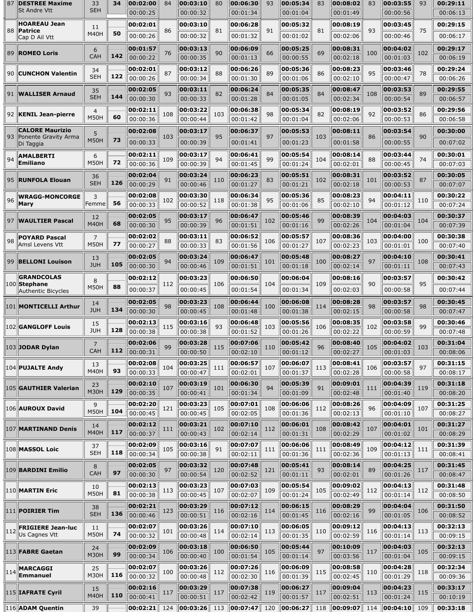| 87  | <b>DESTREE Maxime</b><br><b>St Andre Vtt</b> | 33<br><b>SEH</b>      | 34  | 00:02:00<br>00:00:25 | 84  | 00:03:10<br>00:00:32 | 80  | 00:06:30<br>00:01:34 | 93  | 00:05:34<br>00:01:04 | 83  | 00:08:02<br>00:01:49  | 83  | 00:03:55<br>00:00:56  | 93  | 00:29:11<br>00:06:13 |
|-----|----------------------------------------------|-----------------------|-----|----------------------|-----|----------------------|-----|----------------------|-----|----------------------|-----|-----------------------|-----|-----------------------|-----|----------------------|
|     |                                              |                       |     |                      |     |                      |     |                      |     |                      |     |                       |     |                       |     |                      |
|     | <b>HOAREAU Jean</b><br>88   Patrice          | 11<br><b>M40H</b>     | 50  | 00:02:01             | 86  | 00:03:10             | 81  | 00:06:28             | 91  | 00:05:32             | 81  | 00:08:19              | 93  | 00:03:45              | 75  | 00:29:15             |
|     | Cap D Ail Vtt                                |                       |     | 00:00:26             |     | 00:00:32             |     | 00:01:32             |     | 00:01:02             |     | 00:02:06              |     | 00:00:46              |     | 00:06:17             |
|     | 89 ROMEO Loris                               | 6<br><b>CAH</b>       | 142 | 00:01:57             | 76  | 00:03:13             | 90  | 00:06:09             | 66  | 00:05:25             | 69  | 00:08:31              | 100 | 00:04:02              | 102 | 00:29:17             |
|     |                                              |                       |     | 00:00:22             |     | 00:00:35             |     | 00:01:13             |     | 00:00:55             |     | 00:02:18              |     | 00:01:03              |     | 00:06:19             |
|     | 90 CUNCHON Valentin                          | 34<br><b>SEH</b>      | 122 | 00:02:01<br>00:00:26 | 87  | 00:03:12<br>00:00:34 | 88  | 00:06:26<br>00:01:30 | 89  | 00:05:36<br>00:01:06 | 86  | 00:08:23<br>00:02:10  | 95  | 00:03:46<br>00:00:47  | 78  | 00:29:24<br>00:06:26 |
|     |                                              |                       |     | 00:02:05             |     | 00:03:11             |     | 00:06:24             |     | 00:05:35             |     | 00:08:47              |     |                       |     | 00:29:55             |
|     | 91   WALLISER Arnaud                         | 35<br><b>SEH</b>      | 144 | 00:00:30             | 93  | 00:00:33             | 82  | 00:01:28             | 84  | 00:01:05             | 84  | 00:02:34              | 108 | 00:03:53<br>00:00:54  | 89  | 00:06:57             |
|     |                                              | $\overline{4}$        |     | 00:02:11             |     | 00:03:22             |     | 00:06:38             |     | 00:05:34             |     | 00:08:19              |     | 00:03:52              |     | 00:29:56             |
|     | 92  KENIL Jean-pierre                        | <b>M50H</b>           | 60  | 00:00:36             | 108 | 00:00:44             | 103 | 00:01:42             | 98  | 00:01:04             | 82  | 00:02:06              | 92  | 00:00:53              | 86  | 00:06:58             |
|     | <b>CALORE Maurizio</b>                       | 5                     |     | 00:02:08             |     | 00:03:17             |     | 00:06:37             |     | 00:05:53             |     | 00:08:11              |     | 00:03:54              |     | 00:30:00             |
| 93  | Ponente Gravity Arma<br>Di Taggia            | <b>M50H</b>           | 73  | 00:00:33             | 103 | 00:00:39             | 95  | 00:01:41             | 97  | 00:01:23             | 103 | 00:01:58              | 86  | 00:00:55              | 90  | 00:07:02             |
|     |                                              |                       |     | 00:02:11             |     | 00:03:17             |     | 00:06:41             |     | 00:05:54             |     | 00:08:14              |     | 00:03:44              |     | 00:30:01             |
| 94  | AMALBERTI<br><b>Emiliano</b>                 | 6<br><b>M50H</b>      | 72  | 00:00:36             | 109 | 00:00:39             | 94  | 00:01:45             | 99  | 00:01:24             | 104 | 00:02:01              | 88  | 00:00:45              | 74  | 00:07:03             |
|     |                                              | 36                    |     | 00:02:04             |     | 00:03:24             |     | 00:06:23             |     | 00:05:51             |     | 00:08:31              |     | 00:03:52              |     | 00:30:05             |
|     | 95 RUNFOLA Elouan                            | <b>SEH</b>            | 126 | 00:00:29             | 91  | 00:00:46             | 110 | 00:01:27             | 83  | 00:01:21             | 102 | 00:02:18              | 101 | 00:00:53              | 87  | 00:07:07             |
|     | <b>WRAGG-MONCORGE</b>                        | 3                     |     | 00:02:08             |     | 00:03:30             |     | 00:06:34             |     | 00:05:36             |     | 00:08:23              |     | 00:04:11              |     | 00:30:22             |
| 96  | Mary                                         | Femme                 | 56  | 00:00:33             | 102 | 00:00:52             | 118 | 00:01:38             | 95  | 00:01:06             | 85  | 00:02:10              | 94  | 00:01:12              | 110 | 00:07:24             |
|     | 97 WAULTIER Pascal                           | 12                    |     | 00:02:05             | 95  | 00:03:17             | 96  | 00:06:47             | 102 | 00:05:46             | 99  | 00:08:39              | 104 | 00:04:03              | 104 | 00:30:37             |
|     |                                              | <b>M40H</b>           | 68  | 00:00:30             |     | 00:00:39             |     | 00:01:51             |     | 00:01:16             |     | 00:02:26              |     | 00:01:04              |     | 00:07:39             |
| 98  | <b>POYARD Pascal</b>                         | $\overline{7}$        |     | 00:02:02             | 88  | 00:03:11             | 83  | 00:06:52             | 106 | 00:05:57             | 107 | 00:08:36              | 103 | 00:04:00              | 100 | 00:30:38             |
|     | Amsl Levens Vtt                              | <b>M50H</b>           | 77  | 00:00:27             |     | 00:00:33             |     | 00:01:56             |     | 00:01:27             |     | 00:02:23              |     | 00:01:01              |     | 00:07:40             |
|     | 99 BELLONI Louison                           | 13<br><b>JUH</b>      | 105 | 00:02:05             | 94  | 00:03:24             | 109 | 00:06:47             | 101 | 00:05:48             | 100 | 00:08:27              | 97  | 00:04:10              | 108 | 00:30:41             |
|     |                                              |                       |     | 00:00:30             |     | 00:00:46             |     | 00:01:51             |     | 00:01:18             |     | 00:02:14              |     | 00:01:11              |     | 00:07:43             |
|     | <b>GRANDCOLAS</b><br>$ 100 $ Stephane        | 8                     | 88  | 00:02:12             | 112 | 00:03:23             | 106 | 00:06:50             | 104 | 00:06:04             | 109 | 00:08:16              | 90  | 00:03:57              | 95  | 00:30:42             |
|     | <b>Authentic Bicycles</b>                    | <b>M50H</b>           |     | 00:00:37             |     | 00:00:45             |     | 00:01:54             |     | 00:01:34             |     | 00:02:03              |     | 00:00:58              |     | 00:07:44             |
|     | 101 MONTICELLI Arthur                        | 14                    |     | 00:02:05             | 98  | 00:03:23             | 108 | 00:06:44             | 100 | 00:06:08             | 114 | 00:08:28              | 98  | 00:03:57              | 98  | 00:30:45             |
|     |                                              | <b>JUH</b>            | 134 | 00:00:30             |     | 00:00:45             |     | 00:01:48             |     | 00:01:38             |     | 00:02:15              |     | 00:00:58              |     | 00:07:47             |
|     | 102 GANGLOFF Louis                           | 15<br><b>JUH</b>      | 128 | 00:02:13<br>00:00:38 | 115 | 00:03:16<br>00:00:38 | 93  | 00:06:48<br>00:01:52 | 103 | 00:05:56<br>00:01:26 | 106 | 00:08:35<br>00:02:22  | 102 | 00:03:58<br>00:00:59  | 99  | 00:30:46<br>00:07:48 |
|     |                                              |                       |     | 00:02:06             |     | 00:03:28             |     | 00:07:06             |     | 00:05:42             |     | 00:08:40              |     | 00:04:02              |     | 00:31:04             |
|     | 103 JODAR Dylan                              | $\overline{7}$<br>CAH | 112 | $\ 00:00:31$         | 99  | 00:00:50             |     | 00:02:10             |     | 00:01:12             |     | 00:02:27              |     | 00:01:03              | 103 | 00:08:06             |
|     |                                              | 13                    |     | 00:02:08             |     | 00:03:25             |     | 00:06:57             |     | 00:06:07             |     | 00:08:41              |     | 00:03:57              |     | 00:31:15             |
|     | 104 PUJALTE Andy                             | <b>M40H</b>           | 93  | 00:00:33             | 104 | 00:00:47             | 111 | 00:02:01             | 107 | 00:01:37             | 113 | 00:02:28              | 106 | 00:00:58              | 97  | 00:08:17             |
|     |                                              | 23                    |     | 00:02:10             |     | 00:03:19             |     | 00:06:30             |     | 00:05:39             |     | 00:09:01              |     | 00:04:39              |     | 00:31:18             |
|     | 105 GAUTHIER Valerian                        | M30H                  | 129 | 00:00:35             | 107 | 00:00:41             | 101 | 00:01:34             | 94  | 00:01:09             | 91  | 00:02:48              | 111 | 00:01:40              | 119 | 00:08:20             |
|     | 106 AUROUX David                             | 9                     |     | 00:02:20             | 121 | 00:03:23             | 105 | 00:07:01             | 108 | 00:06:06             | 112 | 00:08:26              | 96  | 00:04:09              | 107 | 00:31:25             |
|     |                                              | <b>M50H</b>           | 104 | 00:00:45             |     | 00:00:45             |     | 00:02:05             |     | 00:01:36             |     | 00:02:13              |     | 00:01:10              |     | 00:08:27             |
|     | 107 MARTINAND Denis                          | 14                    |     | 00:02:12             | 111 | 00:03:21             | 102 | 00:07:10             | 112 | 00:06:01             | 108 | 00:08:42              | 107 | 00:04:01              | 101 | 00:31:27             |
|     |                                              | <b>M40H</b>           | 117 | 00:00:37             |     | 00:00:43             |     | 00:02:14             |     | 00:01:31             |     | 00:02:29              |     | 00:01:02              |     | 00:08:29             |
|     | 108   <b>MASSOL Loic</b>                     | 37<br><b>SEH</b>      | 118 | 00:02:09<br>00:00:34 | 105 | 00:03:16             | 91  | 00:07:07             | 111 | 00:06:06             | 111 | 00:08:49              | 109 | 00:04:12              | 111 | 00:31:39             |
|     |                                              |                       |     |                      |     | 00:00:38             |     | 00:02:11             |     | 00:01:36             |     | 00:02:36              |     | 00:01:13              |     | 00:08:41             |
|     | 109 BARDINI Emilio                           | 8<br><b>CAH</b>       | 97  | 00:02:05<br>00:00:30 | 97  | 00:03:32<br>00:00:54 | 120 | 00:07:48<br>00:02:52 | 121 | 00:05:41<br>00:01:11 | 93  | 00:08:14<br>00:02:01  | 89  | 00:04:25<br>00:01:26  | 117 | 00:31:45<br>00:08:47 |
|     |                                              |                       |     | 00:02:13             |     | 00:03:23             |     | 00:07:03             |     | 00:05:54             |     | 00:09:02              |     | 00:04:13              |     | 00:31:48             |
|     | 110 MARTIN Eric                              | 10<br><b>M50H</b>     | 81  | 00:00:38             | 113 | 00:00:45             | 107 | 00:02:07             | 109 | 00:01:24             | 105 | 00:02:49              | 112 | 00:01:14              | 112 | 00:08:50             |
|     |                                              | 38                    |     | 00:02:21             |     | 00:03:29             |     | 00:07:12             |     | 00:06:15             |     | 00:08:29              |     | 00:04:04              |     | 00:31:50             |
|     | 111 POIRIER Tim                              | <b>SEH</b>            | 136 | 00:00:46             | 123 | 00:00:51             | 116 | 00:02:16             | 114 | 00:01:45             | 116 | 00:02:16              | 99  | 00:01:05              | 106 | 00:08:52             |
|     | <b>FRIGIERE Jean-luc</b>                     | 11                    |     | 00:02:07             |     | 00:03:26             |     | 00:07:10             |     | 00:06:05             |     | 00:09:12              |     | 00:04:13              |     | 00:32:13             |
| 112 | Us Cagnes Vtt                                | <b>M50H</b>           | 74  | 00:00:32             | 101 | 00:00:48             | 114 | 00:02:14             | 113 | 00:01:35             | 110 | 00:02:59              | 116 | 00:01:14              | 113 | 00:09:15             |
|     | 113 FABRE Gaetan                             | 24                    |     | 00:02:09             | 106 | 00:03:18             | 100 | 00:06:50             | 105 | 00:05:44             | 97  | 00:10:09              | 117 | 00:04:03              | 105 | 00:32:13             |
|     |                                              | M30H                  | 99  | 00:00:34             |     | 00:00:40             |     | 00:01:54             |     | 00:01:14             |     | 00:03:56              |     | 00:01:04              |     | 00:09:15             |
| 114 | <b>MARCAGGI</b>                              | 25                    |     | 00:02:07             | 100 | 00:03:26             | 112 | 00:07:26             | 116 | 00:06:09             | 115 | 00:08:58              | 110 | 00:04:28              | 118 | 00:32:34             |
|     | Emmanuel                                     | M30H                  | 116 | 00:00:32             |     | 00:00:48             |     | 00:02:30             |     | 00:01:39             |     | 00:02:45              |     | 00:01:29              |     | 00:09:36             |
|     | 115 IAFRATE Cyril                            | 15<br><b>M40H</b>     | 110 | 00:02:16<br>00:00:41 | 117 | 00:03:29             | 117 | 00:07:38             | 119 | 00:06:27<br>00:01:57 | 117 | 00:09:04              | 113 | 00:04:23              | 115 | 00:33:17             |
|     | 116 ADAM Quentin                             |                       |     | 00:02:21             | 124 | 00:00:51<br>00:03:26 | 113 | 00:02:42<br>00:07:47 | 120 | 00:06:27             | 118 | 00:02:51<br> 00:09:07 | 114 | 00:01:24<br> 00:04:10 | 109 | 00:10:19<br>00:33:18 |
|     |                                              | 39                    |     |                      |     |                      |     |                      |     |                      |     |                       |     |                       |     |                      |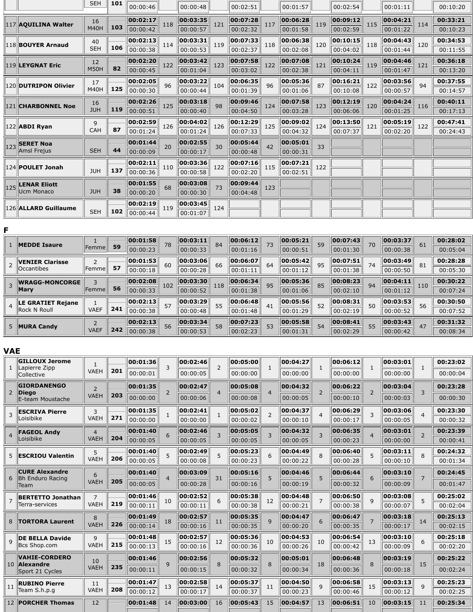|                      | <b>SEH</b>        | 101 | 00:00:46 |     | 00:00:48 |     | 00:02:51 |     | 00:01:57 |     | 00:02:54 |     | 00:01:11 |     | 00:10:20 |
|----------------------|-------------------|-----|----------|-----|----------|-----|----------|-----|----------|-----|----------|-----|----------|-----|----------|
| 117 AQUILINA Walter  | 16<br><b>M40H</b> | 103 | 00:02:17 | 118 | 00:03:35 | 121 | 00:07:28 | 117 | 00:06:28 | 119 | 00:09:12 | 115 | 00:04:21 | 114 | 00:33:21 |
|                      |                   |     | 00:00:42 |     | 00:00:57 |     | 00:02:32 |     | 00:01:58 |     | 00:02:59 |     | 00:01:22 |     | 00:10:23 |
| 118 BOUYER Arnaud    | 40                |     | 00:02:13 | 114 | 00:03:31 | 119 | 00:07:33 | 118 | 00:06:38 | 120 | 00:10:15 | 118 | 00:04:43 | 120 | 00:34:53 |
|                      | <b>SEH</b>        | 106 | 00:00:38 |     | 00:00:53 |     | 00:02:37 |     | 00:02:08 |     | 00:04:02 |     | 00:01:44 |     | 00:11:55 |
| 119 LEYGNAT Eric     | 12                |     | 00:02:20 | 122 | 00:03:42 | 123 | 00:07:58 | 122 | 00:07:08 | 121 | 00:10:24 | 119 | 00:04:46 | 121 | 00:36:18 |
|                      | <b>M50H</b>       | 82  | 00:00:45 |     | 00:01:04 |     | 00:03:02 |     | 00:02:38 |     | 00:04:11 |     | 00:01:47 |     | 00:13:20 |
| 120 DUTRIPON Olivier | 17                |     | 00:02:05 | 96  | 00:03:22 | 104 | 00:06:35 | 96  | 00:05:36 | 87  | 00:16:21 | 122 | 00:03:56 | 94  | 00:37:55 |
|                      | <b>M40H</b>       | 125 | 00:00:30 |     | 00:00:44 |     | 00:01:39 |     | 00:01:06 |     | 00:10:08 |     | 00:00:57 |     | 00:14:57 |
| 121 CHARBONNEL Noe   | 16                |     | 00:02:26 | 125 | 00:03:18 | 98  | 00:09:46 |     | 00:07:58 | 123 | 00:12:19 | 120 | 00:04:24 |     | 00:40:11 |
|                      | <b>JUH</b>        | 119 | 00:00:51 |     | 00:00:40 |     | 00:04:50 | 124 | 00:03:28 |     | 00:06:06 |     | 00:01:25 | 116 | 00:17:13 |
|                      | 9                 |     | 00:02:59 |     | 00:04:02 |     | 00:12:29 |     | 00:09:02 |     | 00:13:50 |     | 00:05:19 |     | 00:47:41 |
| $ 122 $ ABDI Ryan    | <b>CAH</b>        | 87  | 00:01:24 | 126 | 00:01:24 | 126 | 00:07:33 | 125 | 00:04:32 | 124 | 00:07:37 | 121 | 00:02:20 | 122 | 00:24:43 |
| 123 SERET Noa        |                   |     | 00:01:44 | 20  | 00:02:55 | 30  | 00:05:44 | 42  | 00:05:01 | 33  |          |     |          |     |          |
| Amsl Frejus          | <b>SEH</b>        | 44  | 00:00:09 |     | 00:00:17 |     | 00:00:48 |     | 00:00:31 |     |          |     |          |     |          |
| 124 POULET Jonah     |                   |     | 00:02:11 |     | 00:03:36 |     | 00:07:16 | 115 | 00:07:21 |     |          |     |          |     |          |
|                      | <b>JUH</b>        | 137 | 00:00:36 | 110 | 00:00:58 | 122 | 00:02:20 |     | 00:02:51 | 122 |          |     |          |     |          |
| 125 LENAR Eliott     |                   |     | 00:01:55 |     | 00:03:08 |     | 00:09:44 |     |          |     |          |     |          |     |          |
| Ucm Monaco           | <b>JUH</b>        | 38  | 00:00:20 | 68  | 00:00:30 | 73  | 00:04:48 | 123 |          |     |          |     |          |     |          |
|                      |                   |     | 00:02:19 |     | 00:03:45 |     |          |     |          |     |          |     |          |     |          |
| 126 ALLARD Guillaume | <b>SEH</b>        | 102 | 00:00:44 | 119 | 00:01:07 | 124 |          |     |          |     |          |     |          |     |          |

|                | <b>MEDDE Isaure</b>      |                |     | 00:01:58 | 78  | 00:03:11 | 84  | 00:06:12 | 73 | 00:05:21           | 59 | 00:07:43 | 70 | 00:03:37 | 61  | 00:28:02 |
|----------------|--------------------------|----------------|-----|----------|-----|----------|-----|----------|----|--------------------|----|----------|----|----------|-----|----------|
|                |                          | <b>Femme</b>   | 59  | 00:00:23 |     | 00:00:33 |     | 00:01:16 |    | 00:00:51           |    | 00:01:30 |    | 00:00:38 |     | 00:05:04 |
|                | <b>VENIER Clarisse</b>   |                |     | 00:01:53 | 60  | 00:03:06 | 66  | 00:06:07 | 64 | 00:05:42           | 95 | 00:07:51 | 74 | 00:03:49 | 81  | 00:28:28 |
|                | <b>Occantibes</b>        | <b> Femme </b> | 57  | 00:00:18 |     | 00:00:28 |     | 00:01:11 |    | $ 00:01:12\rangle$ |    | 00:01:38 |    | 00:00:50 |     | 00:05:30 |
|                | <b>WRAGG-MONCORGE</b>    |                |     | 00:02:08 | 102 | 00:03:30 | 118 | 00:06:34 | 95 | 00:05:36           | 85 | 00:08:23 | 94 | 00:04:11 | 110 | 00:30:22 |
|                | Mary                     | Femme          | 56  | 00:00:33 |     | 00:00:52 |     | 00:01:38 |    | 00:01:06           |    | 00:02:10 |    | 00:01:12 |     | 00:07:24 |
| $\overline{4}$ | <b>LE GRATIET Rejane</b> |                |     | 00:02:13 | 57  | 00:03:29 | 55  | 00:06:48 | 41 | 00:05:56           | 52 | 00:08:31 | 50 | 00:03:53 | 56  | 00:30:50 |
|                | <b>Rock N Roull</b>      | <b>VAEF</b>    | 241 | 00:00:38 |     | 00:00:48 |     | 00:01:48 |    | 00:01:29           |    | 00:02:19 |    | 00:00:52 |     | 00:07:52 |
|                | <b>MURA Candy</b>        |                |     | 00:02:13 | 56  | 00:03:34 | 58  | 00:07:23 | 53 | 00:05:58           | 54 | 00:08:41 | 55 | 00:03:43 | 47  | 00:31:32 |
|                |                          | <b>VAEF</b>    | 242 | 00:00:38 |     | 00:00:53 |     | 00:02:23 |    | 00:01:31           |    | 00:02:29 |    | 00:00:42 |     | 00:08:34 |

|                | <b>GILLOUX Jerome</b>                            |                |     | 00:01:36 | 3              | 00:02:46 | $\overline{2}$ | 00:05:00 | $\mathbf{1}$   | 00:04:27 | $\mathbf{1}$             | 00:06:12 | $\mathbf{1}$   | 00:03:01 | $\mathbf{1}$   | 00:23:02 |
|----------------|--------------------------------------------------|----------------|-----|----------|----------------|----------|----------------|----------|----------------|----------|--------------------------|----------|----------------|----------|----------------|----------|
| $\mathbf{1}$   | Lapierre Zipp<br>Collective                      | <b>VAEH</b>    | 201 | 00:00:01 |                | 00:00:05 |                | 00:00:00 |                | 00:00:00 |                          | 00:00:00 |                | 00:00:00 |                | 00:00:04 |
|                | <b>GIORDANENGO</b>                               | $\overline{2}$ |     | 00:01:35 | $\overline{2}$ | 00:02:47 | $\overline{4}$ | 00:05:08 | $\overline{a}$ | 00:04:32 | $\overline{\phantom{0}}$ | 00:06:22 | $\overline{2}$ | 00:03:04 | $\overline{3}$ | 00:23:28 |
| $\overline{2}$ | <b>Diego</b><br>E-team Moustache                 | <b>VAEH</b>    | 203 | 00:00:00 |                | 00:00:06 |                | 00:00:08 |                | 00:00:05 |                          | 00:00:10 |                | 00:00:03 |                | 00:00:30 |
| 3              | <b>ESCRIVA Pierre</b>                            | 3              |     | 00:01:35 | 1              | 00:02:41 | $\mathbf{1}$   | 00:05:02 | $\overline{2}$ | 00:04:37 |                          | 00:06:29 | 3              | 00:03:06 | $\overline{4}$ | 00:23:30 |
|                | Loisibike                                        | <b>VAEH</b>    | 271 | 00:00:00 |                | 00:00:00 |                | 00:00:02 |                | 00:00:10 |                          | 00:00:17 |                | 00:00:05 |                | 00:00:32 |
|                | <b>FAGEOL Andv</b>                               | 4              |     | 00:01:40 | 6              | 00:02:46 | 3              | 00:05:05 | 3              | 00:04:32 |                          | 00:06:35 | 4              | 00:03:01 | $\overline{2}$ | 00:23:39 |
|                | Loisibike                                        | <b>VAEH</b>    | 204 | 00:00:05 |                | 00:00:05 |                | 00:00:05 |                | 00:00:05 |                          | 00:00:23 |                | 00:00:00 |                | 00:00:41 |
| 5.             | <b>ESCRIOU Valentin</b>                          | 5              |     | 00:01:40 | 5              | 00:02:49 | 5              | 00:05:23 | 6              | 00:04:49 |                          | 00:06:40 | 5              | 00:03:11 | 8              | 00:24:32 |
|                |                                                  | <b>VAEH</b>    | 206 | 00:00:05 |                | 00:00:08 |                | 00:00:23 |                | 00:00:22 |                          | 00:00:28 |                | 00:00:10 |                | 00:01:34 |
|                | <b>CURE Alexandre</b><br><b>Bh Enduro Racing</b> | 6              |     | 00:01:40 | $\overline{4}$ | 00:03:09 | 31             | 00:05:16 | 5              | 00:04:46 | 5                        | 00:06:44 | 6              | 00:03:10 | $\overline{7}$ | 00:24:45 |
|                | Team                                             | <b>VAEH</b>    | 205 | 00:00:05 |                | 00:00:28 |                | 00:00:16 |                | 00:00:19 |                          | 00:00:32 |                | 00:00:09 |                | 00:01:47 |
|                | <b>BERTETTO Jonathan</b>                         | $\overline{7}$ |     | 00:01:46 | 10             | 00:02:52 | 6              | 00:05:38 | 12             | 00:04:48 |                          | 00:06:50 | q              | 00:03:08 | 5              | 00:25:02 |
|                | Terra-services                                   | <b>VAEH</b>    | 219 | 00:00:11 |                | 00:00:11 |                | 00:00:38 |                | 00:00:21 |                          | 00:00:38 |                | 00:00:07 |                | 00:02:04 |
|                | 8   TORTORA Laurent                              | 8              |     | 00:01:49 | 18             | 00:02:57 | 11             | 00:05:35 | $\mathsf{q}$   | 00:04:47 |                          | 00:06:47 |                | 00:03:18 | 14             | 00:25:13 |
|                |                                                  | <b>VAEH</b>    | 226 | 00:00:14 |                | 00:00:16 |                | 00:00:35 |                | 00:00:20 |                          | 00:00:35 |                | 00:00:17 |                | 00:02:15 |
|                | <b>DE BELLA Davide</b>                           | $\mathsf{q}$   |     | 00:01:48 | 15             | 00:02:57 | 12             | 00:05:36 | 10             | 00:04:53 | 10                       | 00:06:54 | 13             | 00:03:10 | 6              | 00:25:18 |
|                | Bcs Shop.com                                     | <b>VAEH</b>    | 215 | 00:00:13 |                | 00:00:16 |                | 00:00:36 |                | 00:00:26 |                          | 00:00:42 |                | 00:00:09 |                | 00:02:20 |
|                | <b>VAHIE-CORDERO</b><br>10 Alexandre             | 10             |     | 00:01:46 | 9              | 00:02:56 | 8              | 00:05:32 | 8              | 00:05:01 | 18                       | 00:06:48 | 8              | 00:03:19 | 15             | 00:25:22 |
|                | Sport 21 Cycles                                  | <b>VAEH</b>    | 235 | 00:00:11 |                | 00:00:15 |                | 00:00:32 |                | 00:00:34 |                          | 00:00:36 |                | 00:00:18 |                | 00:02:24 |
| 11             | <b>RUBINO Pierre</b>                             | 11             |     | 00:01:47 | 13             | 00:02:58 | 14             | 00:05:37 | 11             | 00:04:50 | 9                        | 00:06:58 | 15             | 00:03:13 | 9              | 00:25:23 |
|                | Team S.h.p.q                                     | <b>VAEH</b>    | 208 | 00:00:12 |                | 00:00:17 |                | 00:00:37 |                | 00:00:23 |                          | 00:00:46 |                | 00:00:12 |                | 00:02:25 |
|                | 12 PORCHER Thomas                                | 12             |     | 00:01:48 | 14             | 00:03:00 | 16             | 00:05:43 | 15             | 00:04:57 | 13                       | 00:06:51 | 10             | 00:03:15 | 11             | 00:25:34 |
|                |                                                  |                |     |          |                |          |                |          |                |          |                          |          |                |          |                |          |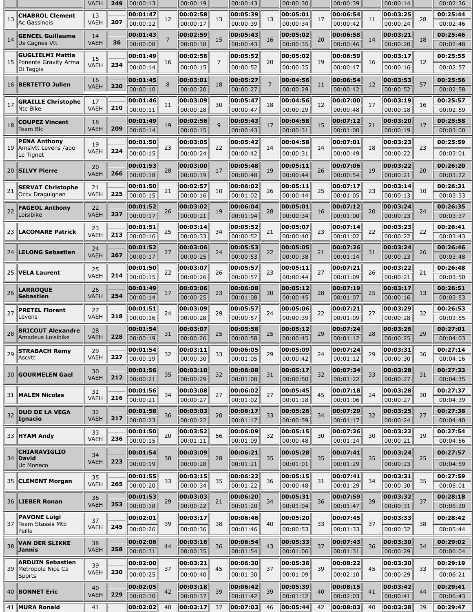|    |                                          | <b>VAEH</b>       | 249 | 00:00:13 |    | 00:00:19 |                | 00:00:43 |    | 00:00:30 |    | 00:00:39 |    | 00:00:14 |    | 00:02:36 |
|----|------------------------------------------|-------------------|-----|----------|----|----------|----------------|----------|----|----------|----|----------|----|----------|----|----------|
| 13 | <b>CHABROL Clement</b><br>Ac Gassinois   | 13<br><b>VAEH</b> | 207 | 00:01:47 | 12 | 00:02:58 | 13             | 00:05:39 | 13 | 00:05:01 | 17 | 00:06:54 | 11 | 00:03:25 | 28 | 00:25:44 |
|    |                                          |                   |     | 00:00:12 |    | 00:00:17 |                | 00:00:39 |    | 00:00:34 |    | 00:00:42 |    | 00:00:24 |    | 00:02:46 |
| 14 | <b>GENCEL Guillaume</b><br>Us Cagnes Vtt | 14<br><b>VAEH</b> | 36  | 00:01:43 | 7  | 00:02:59 | 15             | 00:05:43 | 16 | 00:05:02 | 20 | 00:06:58 | 14 | 00:03:21 | 18 | 00:25:46 |
|    |                                          |                   |     | 00:00:08 |    | 00:00:18 |                | 00:00:43 |    | 00:00:35 |    | 00:00:46 |    | 00:00:20 |    | 00:02:48 |
| 15 | GUGLIELMI Mattia<br>Ponente Gravity Arma | 15                |     | 00:01:49 | 16 | 00:02:56 | $\overline{7}$ | 00:05:52 | 20 | 00:05:02 | 19 | 00:06:59 | 16 | 00:03:17 | 12 | 00:25:55 |
|    | Di Taggia                                | <b>VAEH</b>       | 234 | 00:00:14 |    | 00:00:15 |                | 00:00:52 |    | 00:00:35 |    | 00:00:47 |    | 00:00:16 |    | 00:02:57 |
| 16 | <b>BERTETTO Julien</b>                   | 16                |     | 00:01:45 | 8  | 00:03:01 | 18             | 00:05:27 | 7  | 00:04:56 |    | 00:06:54 | 12 | 00:03:53 | 57 | 00:25:56 |
|    |                                          | <b>VAEH</b>       | 220 | 00:00:10 |    | 00:00:20 |                | 00:00:27 |    | 00:00:29 | 11 | 00:00:42 |    | 00:00:52 |    | 00:02:58 |
| 17 | <b>GRAILLE Christophe</b>                | 17                |     | 00:01:46 |    | 00:03:09 | 30             | 00:05:47 |    | 00:04:56 |    | 00:07:00 | 17 | 00:03:19 |    | 00:25:57 |
|    | Ntc Bike                                 | VAEH              | 210 | 00:00:11 | 11 | 00:00:28 |                | 00:00:47 | 18 | 00:00:29 | 12 | 00:00:48 |    | 00:00:18 | 16 | 00:02:59 |
| 18 | <b>COUPEZ Vincent</b>                    | 18                |     | 00:01:49 |    | 00:02:56 | 9              | 00:05:43 |    | 00:04:58 | 15 | 00:07:12 |    | 00:03:20 |    | 00:25:58 |
|    | Team Blc                                 | <b>VAEH</b>       | 209 | 00:00:14 | 19 | 00:00:15 |                | 00:00:43 | 17 | 00:00:31 |    | 00:01:00 | 21 | 00:00:19 | 17 | 00:03:00 |
|    | <b>PENA Anthony</b>                      | 19                |     | 00:01:50 |    | 00:03:05 |                | 00:05:42 |    | 00:04:58 |    | 00:07:01 |    | 00:03:23 |    | 00:25:59 |
| 19 | Amslytt Levens /aoe<br>Le Tignet         | <b>VAEH</b>       | 224 | 00:00:15 | 23 | 00:00:24 | 22             | 00:00:42 | 14 | 00:00:31 | 14 | 00:00:49 | 18 | 00:00:22 | 23 | 00:03:01 |
|    |                                          | 20                |     | 00:01:53 |    | 00:03:00 |                | 00:05:48 |    | 00:05:11 |    | 00:07:06 |    | 00:03:22 |    | 00:26:20 |
| 20 | <b>SILVY Pierre</b>                      | <b>VAEH</b>       | 266 | 00:00:18 | 28 | 00:00:19 | 17             | 00:00:48 | 19 | 00:00:44 | 26 | 00:00:54 | 19 | 00:00:21 | 20 | 00:03:22 |
|    | <b>SERVAT Christophe</b>                 | 21                |     | 00:01:50 |    | 00:02:57 |                | 00:06:02 |    | 00:05:11 |    | 00:07:17 |    | 00:03:14 |    | 00:26:31 |
| 21 | Occv Draguignan                          | <b>VAEH</b>       | 225 | 00:00:15 | 21 | 00:00:16 | 10             | 00:01:02 | 26 | 00:00:44 | 25 | 00:01:05 | 23 | 00:00:13 | 10 | 00:03:33 |
|    | <b>FAGEOL Anthony</b>                    | 22                |     | 00:01:52 |    | 00:03:02 |                | 00:06:04 |    | 00:05:01 |    | 00:07:12 |    | 00:03:24 |    | 00:26:35 |
| 22 | Loisibike                                | <b>VAEH</b>       | 237 | 00:00:17 | 26 | 00:00:21 | 19             | 00:01:04 | 28 | 00:00:34 | 16 | 00:01:00 | 20 | 00:00:23 | 24 | 00:03:37 |
|    |                                          | 23                |     | 00:01:51 |    | 00:03:14 |                | 00:05:52 |    | 00:05:07 |    | 00:07:14 |    | 00:03:23 |    | 00:26:41 |
| 23 | <b>LACOMARE Patrick</b>                  | <b>VAEH</b>       | 213 | 00:00:16 | 25 | 00:00:33 | 34             | 00:00:52 | 21 | 00:00:40 | 23 | 00:01:02 | 22 | 00:00:22 | 22 | 00:03:43 |
|    |                                          | 24                |     | 00:01:52 |    | 00:03:06 |                | 00:05:53 |    | 00:05:05 |    | 00:07:26 |    | 00:03:24 |    | 00:26:46 |
| 24 | <b>LELONG Sebastien</b>                  | <b>VAEH</b>       | 267 | 00:00:17 | 27 | 00:00:25 | 24             | 00:00:53 | 22 | 00:00:38 | 21 | 00:01:14 | 31 | 00:00:23 | 26 | 00:03:48 |
|    |                                          | 25                |     | 00:01:50 |    | 00:03:07 |                | 00:05:57 |    | 00:05:11 |    | 00:07:21 |    | 00:03:22 |    | 00:26:48 |
| 25 | <b>VELA Laurent</b>                      | <b>VAEH</b>       | 214 | 00:00:15 | 22 | 00:00:26 | 26             | 00:00:57 | 23 | 00:00:44 | 27 | 00:01:09 | 26 | 00:00:21 | 21 | 00:03:50 |
|    | <b>LARROQUE</b>                          | 26                |     | 00:01:49 |    | 00:03:06 |                | 00:06:08 |    | 00:05:12 |    | 00:07:19 |    | 00:03:17 |    | 00:26:51 |
| 26 | <b>Sebastien</b>                         | <b>VAEH</b>       | 254 | 00:00:14 | 17 | 00:00:25 | 23             | 00:01:08 | 30 | 00:00:45 | 28 | 00:01:07 | 25 | 00:00:16 | 13 | 00:03:53 |
| 27 | <b>PRETEL Florent</b>                    | 27                |     | 00:01:51 |    | 00:03:09 | 29             | 00:05:57 |    | 00:05:06 | 22 | 00:07:21 | 27 | 00:03:29 |    | 00:26:53 |
|    | Levens                                   | <b>VAEH</b>       | 218 | 00:00:16 | 24 | 00:00:28 |                | 00:00:57 | 24 | 00:00:39 |    | 00:01:09 |    | 00:00:28 | 32 | 00:03:55 |
| 28 | <b>BRICOUT Alexandre</b>                 | 28                |     | 00:01:54 | 31 | 00:03:07 | 25             | 00:05:58 | 25 | 00:05:12 | 29 | 00:07:24 | 28 | 00:03:26 | 29 | 00:27:01 |
|    | Amadeus Loisibike                        | <b>VAEH</b>       | 228 | 00:00:19 |    | 00:00:26 |                | 00:00:58 |    | 00:00:45 |    | 00:01:12 |    | 00:00:25 |    | 00:04:03 |
| 29 | <b>STRABACH Remy</b>                     | 29                |     | 00:01:54 | 32 | 00:03:11 | 33             | 00:06:05 | 29 | 00:05:09 | 24 | 00:07:24 | 29 | 00:03:31 | 36 | 00:27:14 |
|    | Ascvtt                                   | <b>VAEH</b>       | 227 | 00:00:19 |    | 00:00:30 |                | 00:01:05 |    | 00:00:42 |    | 00:01:12 |    | 00:00:30 |    | 00:04:16 |
|    | 30 GOURMELEN Gael                        | 30                |     | 00:01:56 | 35 | 00:03:10 | 32             | 00:06:08 | 31 | 00:05:17 | 32 | 00:07:34 | 33 | 00:03:28 | 31 | 00:27:33 |
|    |                                          | <b>VAEH</b>       | 212 | 00:00:21 |    | 00:00:29 |                | 00:01:08 |    | 00:00:50 |    | 00:01:22 |    | 00:00:27 |    | 00:04:35 |
| 31 | MALEN Nicolas                            | 31                |     | 00:01:56 | 34 | 00:03:08 | 27             | 00:06:02 | 27 | 00:05:45 | 45 | 00:07:18 | 24 | 00:03:28 | 30 | 00:27:37 |
|    |                                          | <b>VAEH</b>       | 216 | 00:00:21 |    | 00:00:27 |                | 00:01:02 |    | 00:01:18 |    | 00:01:06 |    | 00:00:27 |    | 00:04:39 |
| 32 | <b>DUO DE LA VEGA</b>                    | 32                |     | 00:01:58 | 36 | 00:03:03 | 20             | 00:06:17 | 33 | 00:05:26 | 34 | 00:07:29 | 32 | 00:03:25 | 27 | 00:27:38 |
|    | Ignacio                                  | VAEH              | 217 | 00:00:23 |    | 00:00:22 |                | 00:01:17 |    | 00:00:59 |    | 00:01:17 |    | 00:00:24 |    | 00:04:40 |
|    | 33 HYAM Andy                             | 33                |     | 00:01:50 | 20 | 00:03:52 | 66             | 00:06:09 | 32 | 00:05:15 | 30 | 00:07:26 | 30 | 00:03:22 | 19 | 00:27:54 |
|    |                                          | <b>VAEH</b>       | 236 | 00:00:15 |    | 00:01:11 |                | 00:01:09 |    | 00:00:48 |    | 00:01:14 |    | 00:00:21 |    | 00:04:56 |
| 34 | <b>CHIARAVIGLIO</b><br>David             | 34                |     | 00:01:54 | 30 | 00:03:09 | 28             | 00:06:21 | 35 | 00:05:28 | 35 | 00:07:41 | 35 | 00:03:24 | 25 | 00:27:57 |
|    | Uc Monaco                                | <b>VAEH</b>       | 223 | 00:00:19 |    | 00:00:28 |                | 00:01:21 |    | 00:01:01 |    | 00:01:29 |    | 00:00:23 |    | 00:04:59 |
|    |                                          | 35                |     | 00:01:55 |    | 00:03:15 |                | 00:06:22 |    | 00:05:15 |    | 00:07:41 |    | 00:03:31 |    | 00:27:59 |
|    | 35 CLEMENT Morgan                        | VAEH              | 265 | 00:00:20 | 33 | 00:00:34 | 35             | 00:01:22 | 36 | 00:00:48 | 31 | 00:01:29 | 34 | 00:00:30 | 35 | 00:05:01 |
|    |                                          | 36                |     | 00:01:53 |    | 00:03:03 |                | 00:06:20 |    | 00:05:31 |    | 00:07:59 |    | 00:03:32 |    | 00:28:18 |
|    | 36 LIEBER Ronan                          | <b>VAEH</b>       | 253 | 00:00:18 | 29 | 00:00:22 | 21             | 00:01:20 | 34 | 00:01:04 | 36 | 00:01:47 | 39 | 00:00:31 | 37 | 00:05:20 |
|    | <b>PAVONE Luigi</b>                      | 37                |     | 00:02:01 |    | 00:03:17 |                | 00:06:46 |    | 00:05:20 |    | 00:07:45 |    | 00:03:33 |    | 00:28:42 |
| 37 | Team Stassis Mtb<br>Peille               | <b>VAEH</b>       | 245 | 00:00:26 | 39 | 00:00:36 | 38             | 00:01:46 | 40 | 00:00:53 | 33 | 00:01:33 | 37 | 00:00:32 | 38 | 00:05:44 |
|    | VAN DER SLIKKE                           | 38                |     | 00:02:06 |    | 00:03:16 |                | 00:06:54 |    | 00:05:33 |    | 00:07:43 |    | 00:03:30 |    | 00:29:02 |
| 38 | Jannis                                   | <b>VAEH</b>       | 258 | 00:00:31 | 44 | 00:00:35 | 36             | 00:01:54 | 43 | 00:01:06 | 37 | 00:01:31 | 36 | 00:00:29 | 34 | 00:06:04 |
|    | <b>ARDUIN Sebastien</b>                  |                   |     | 00:02:00 |    | 00:03:21 |                | 00:06:30 |    | 00:05:36 |    | 00:08:22 |    | 00:03:30 |    | 00:29:19 |
| 39 | Metropole Nice Ca                        | 39<br>VAEH        | 230 |          | 37 |          | 45             |          | 37 |          | 39 |          | 45 |          | 33 |          |
|    | Sports                                   |                   |     | 00:00:25 |    | 00:00:40 |                | 00:01:30 |    | 00:01:09 |    | 00:02:10 |    | 00:00:29 |    | 00:06:21 |
|    | 40 <b>BONNET Eric</b>                    | 40<br>VAEH        | 229 | 00:02:05 | 42 | 00:03:18 | 39             | 00:06:42 | 39 | 00:05:39 | 40 | 00:08:15 | 41 | 00:03:42 | 44 | 00:29:41 |
|    |                                          |                   |     | 00:00:30 |    | 00:00:37 |                | 00:01:42 |    | 00:01:12 |    | 00:02:03 |    | 00:00:41 |    | 00:06:43 |
|    | 41 MURA Ronald                           | 41                |     | 00:02:02 | 40 | 00:03:17 | 37             | 00:07:03 | 46 | 00:05:44 | 42 | 00:08:03 | 40 | 00:03:38 | 39 | 00:29:47 |